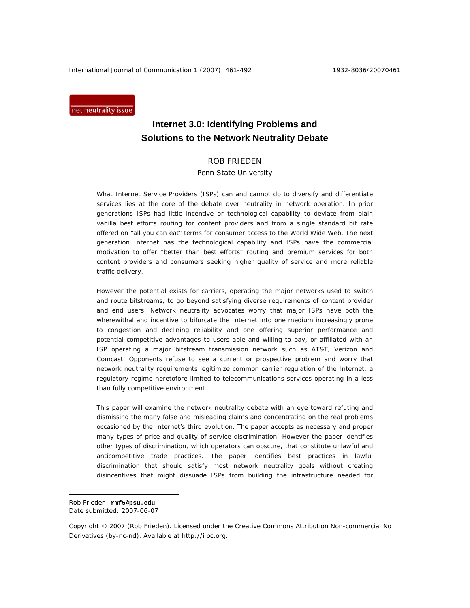International Journal of Communication 1 (2007), 461-492 1932-8036/20070461

net neutrality issue

# **Internet 3.0: Identifying Problems and Solutions to the Network Neutrality Debate**

# ROB FRIEDEN

### Penn State University

What Internet Service Providers (ISPs) can and cannot do to diversify and differentiate services lies at the core of the debate over neutrality in network operation. In prior generations ISPs had little incentive or technological capability to deviate from plain vanilla best efforts routing for content providers and from a single standard bit rate offered on "all you can eat" terms for consumer access to the World Wide Web. The next generation Internet has the technological capability and ISPs have the commercial motivation to offer "better than best efforts" routing and premium services for both content providers and consumers seeking higher quality of service and more reliable traffic delivery.

However the potential exists for carriers, operating the major networks used to switch and route bitstreams, to go beyond satisfying diverse requirements of content provider and end users. Network neutrality advocates worry that major ISPs have both the wherewithal and incentive to bifurcate the Internet into one medium increasingly prone to congestion and declining reliability and one offering superior performance and potential competitive advantages to users able and willing to pay, or affiliated with an ISP operating a major bitstream transmission network such as AT&T, Verizon and Comcast. Opponents refuse to see a current or prospective problem and worry that network neutrality requirements legitimize common carrier regulation of the Internet, a regulatory regime heretofore limited to telecommunications services operating in a less than fully competitive environment.

This paper will examine the network neutrality debate with an eye toward refuting and dismissing the many false and misleading claims and concentrating on the real problems occasioned by the Internet's third evolution. The paper accepts as necessary and proper many types of price and quality of service discrimination. However the paper identifies other types of discrimination, which operators can obscure, that constitute unlawful and anticompetitive trade practices. The paper identifies best practices in lawful discrimination that should satisfy most network neutrality goals without creating disincentives that might dissuade ISPs from building the infrastructure needed for

 $\overline{a}$ 

Rob Frieden: **rmf5@psu.edu** 

Date submitted: 2007-06-07

Copyright © 2007 (Rob Frieden). Licensed under the Creative Commons Attribution Non-commercial No Derivatives (by-nc-nd). Available at http://ijoc.org.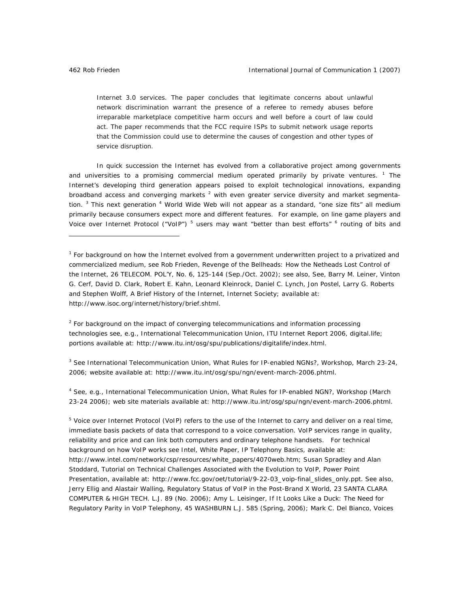Internet 3.0 services. The paper concludes that legitimate concerns about unlawful network discrimination warrant the presence of a referee to remedy abuses before irreparable marketplace competitive harm occurs and well before a court of law could act. The paper recommends that the FCC require ISPs to submit network usage reports that the Commission could use to determine the causes of congestion and other types of service disruption.

In quick succession the Internet has evolved from a collaborative project among governments and universities to a promising commercial medium operated primarily by private ventures. <sup>1</sup> The Internet's developing third generation appears poised to exploit technological innovations, expanding broadband access and converging markets<sup>2</sup> with even greater service diversity and market segmentation. <sup>3</sup> This next generation <sup>4</sup> World Wide Web will not appear as a standard, "one size fits" all medium primarily because consumers expect more and different features. For example, on line game players and Voice over Internet Protocol ("VoIP")<sup>5</sup> users may want "better than best efforts" <sup>6</sup> routing of bits and

<sup>2</sup> For background on the impact of converging telecommunications and information processing technologies *see*, *e.g*., International Telecommunication Union, ITU Internet Report 2006, *digital.life*; portions available at: http://www.itu.int/osg/spu/publications/digitalife/index.html.

3  *See* International Telecommunication Union, What Rules for IP-enabled NGNs?, Workshop, March 23-24, 2006; website available at: http://www.itu.int/osg/spu/ngn/event-march-2006.phtml.

<sup>4</sup> See, e.g., International Telecommunication Union, What Rules for IP-enabled NGN?, Workshop (March 23-24 2006); web site materials available at: http://www.itu.int/osg/spu/ngn/event-march-2006.phtml.

<sup>5</sup> Voice over Internet Protocol (VoIP) refers to the use of the Internet to carry and deliver on a real time, immediate basis packets of data that correspond to a voice conversation. VoIP services range in quality, reliability and price and can link both computers and ordinary telephone handsets. For technical background on how VoIP works *see* Intel, White Paper, *IP Telephony Basics*, available at: http://www.intel.com/network/csp/resources/white\_papers/4070web.htm; Susan Spradley and Alan Stoddard, Tutorial on Technical Challenges Associated with the Evolution to VoIP, Power Point Presentation, available at: http://www.fcc.gov/oet/tutorial/9-22-03\_voip-final\_slides\_only.ppt. *See also*, Jerry Ellig and Alastair Walling, *Regulatory Status of VoIP in the Post-Brand X World*, 23 SANTA CLARA COMPUTER & HIGH TECH. L.J. 89 (No. 2006); Amy L. Leisinger, *If It Looks Like a Duck: The Need for Regulatory Parity in VoIP Telephony*, 45 WASHBURN L.J. 585 (Spring, 2006); Mark C. Del Bianco, *Voices* 

<sup>&</sup>lt;sup>1</sup> For background on how the Internet evolved from a government underwritten project to a privatized and commercialized medium, *see* Rob Frieden, *Revenge of the Bellheads: How the Netheads Lost Control of the Internet*, 26 TELECOM. POL'Y, No. 6, 125-144 (Sep./Oct. 2002); *see also*, *See*, Barry M. Leiner, Vinton G. Cerf, David D. Clark, Robert E. Kahn, Leonard Kleinrock, Daniel C. Lynch, Jon Postel, Larry G. Roberts and Stephen Wolff, *A Brief History of the Internet*, Internet Society; available at: http://www.isoc.org/internet/history/brief.shtml.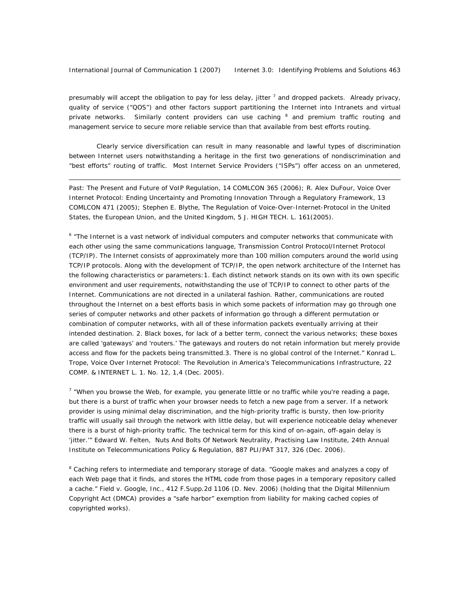presumably will accept the obligation to pay for less delay, jitter <sup>7</sup> and dropped packets. Already privacy, quality of service ("QOS") and other factors support partitioning the Internet into Intranets and virtual private networks. Similarly content providers can use caching <sup>8</sup> and premium traffic routing and management service to secure more reliable service than that available from best efforts routing.

Clearly service diversification can result in many reasonable and lawful types of discrimination between Internet users notwithstanding a heritage in the first two generations of nondiscrimination and "best efforts" routing of traffic. Most Internet Service Providers ("ISPs") offer access on an unmetered,

*Past: The Present and Future of VoIP Regulation*, 14 COMLCON 365 (2006); R. Alex DuFour, *Voice Over Internet Protocol: Ending Uncertainty and Promoting Innovation Through a Regulatory Framework*, 13 COMLCON 471 (2005); Stephen E. Blythe, *The Regulation of Voice-Over-Internet-Protocol in the United States, the European Union, and the United Kingdom*, 5 J. HIGH TECH. L. 161(2005).

<sup>6</sup> "The Internet is a vast network of individual computers and computer networks that communicate with each other using the same communications language, Transmission Control Protocol/Internet Protocol (TCP/IP). The Internet consists of approximately more than 100 million computers around the world using TCP/IP protocols. Along with the development of TCP/IP, the open network architecture of the Internet has the following characteristics or parameters:1. Each distinct network stands on its own with its own specific environment and user requirements, notwithstanding the use of TCP/IP to connect to other parts of the Internet. Communications are not directed in a unilateral fashion. Rather, communications are routed throughout the Internet on a best efforts basis in which some packets of information may go through one series of computer networks and other packets of information go through a different permutation or combination of computer networks, with all of these information packets eventually arriving at their intended destination. 2. Black boxes, for lack of a better term, connect the various networks; these boxes are called 'gateways' and 'routers.' The gateways and routers do not retain information but merely provide access and flow for the packets being transmitted.3. There is no global control of the Internet." Konrad L. Trope, *Voice Over Internet Protocol: The Revolution in America's Telecommunications Infrastructure*, 22 COMP. & INTERNET L. 1. No. 12, 1,4 (Dec. 2005).

<sup>7</sup> "When you browse the Web, for example, you generate little or no traffic while you're reading a page, but there is a burst of traffic when your browser needs to fetch a new page from a server. If a network provider is using minimal delay discrimination, and the high-priority traffic is bursty, then low-priority traffic will usually sail through the network with little delay, but will experience noticeable delay whenever there is a burst of high-priority traffic. The technical term for this kind of on-again, off-again delay is 'jitter.'" Edward W. Felten, *Nuts And Bolts Of Network Neutrality*, Practising Law Institute, 24th Annual Institute on Telecommunications Policy & Regulation, 887 PLI/PAT 317, 326 (Dec. 2006).

<sup>8</sup> Caching refers to intermediate and temporary storage of data. "Google makes and analyzes a copy of each Web page that it finds, and stores the HTML code from those pages in a temporary repository called a cache." Field v. Google, Inc., 412 F.Supp.2d 1106 (D. Nev. 2006) (holding that the Digital Millennium Copyright Act (DMCA) provides a "safe harbor" exemption from liability for making cached copies of copyrighted works).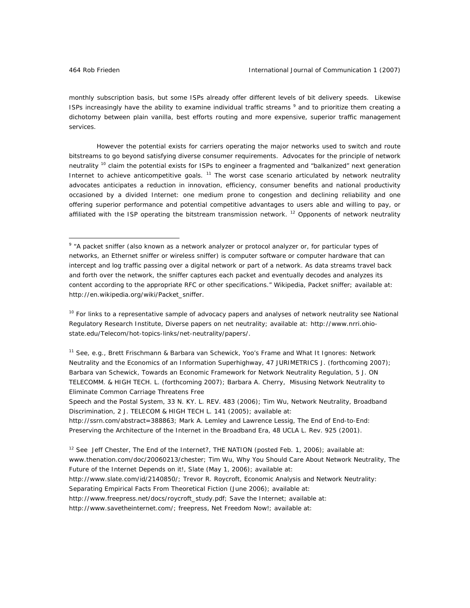monthly subscription basis, but some ISPs already offer different levels of bit delivery speeds. Likewise ISPs increasingly have the ability to examine individual traffic streams <sup>9</sup> and to prioritize them creating a dichotomy between plain vanilla, best efforts routing and more expensive, superior traffic management services.

However the potential exists for carriers operating the major networks used to switch and route bitstreams to go beyond satisfying diverse consumer requirements. Advocates for the principle of network neutrality <sup>10</sup> claim the potential exists for ISPs to engineer a fragmented and "balkanized" next generation Internet to achieve anticompetitive goals. <sup>11</sup> The worst case scenario articulated by network neutrality advocates anticipates a reduction in innovation, efficiency, consumer benefits and national productivity occasioned by a divided Internet: one medium prone to congestion and declining reliability and one offering superior performance and potential competitive advantages to users able and willing to pay, or affiliated with the ISP operating the bitstream transmission network. <sup>12</sup> Opponents of network neutrality

*Speech and the Postal System*, 33 N. KY. L. REV. 483 (2006); Tim Wu, *Network Neutrality, Broadband Discrimination*, 2 J. TELECOM & HIGH TECH L. 141 (2005); available at:

http://www.savetheinternet.com/; freepress, Net Freedom Now!; available at:

<sup>&</sup>lt;sup>9</sup> "A packet sniffer (also known as a network analyzer or protocol analyzer or, for particular types of networks, an Ethernet sniffer or wireless sniffer) is computer software or computer hardware that can intercept and log traffic passing over a digital network or part of a network. As data streams travel back and forth over the network, the sniffer captures each packet and eventually decodes and analyzes its content according to the appropriate RFC or other specifications." Wikipedia, Packet sniffer; available at: http://en.wikipedia.org/wiki/Packet\_sniffer.

<sup>10</sup> For links to a representative sample of advocacy papers and analyses of network neutrality *see* National Regulatory Research Institute, Diverse papers on net neutrality; available at: http://www.nrri.ohiostate.edu/Telecom/hot-topics-links/net-neutrality/papers/.

<sup>11</sup> *See, e.g.*, Brett Frischmann & Barbara van Schewick, *Yoo's Frame and What It Ignores: Network Neutrality and the Economics of an Information Superhighway*, 47 JURIMETRICS J. (forthcoming 2007); Barbara van Schewick, *Towards an Economic Framework for Network Neutrality Regulation*, 5 J. ON TELECOMM. & HIGH TECH. L. (forthcoming 2007); Barbara A. Cherry, *Misusing Network Neutrality to Eliminate Common Carriage Threatens Free* 

http://ssrn.com/abstract=388863; Mark A. Lemley and Lawrence Lessig, *The End of End-to-End: Preserving the Architecture of the Internet in the Broadband Era,* 48 UCLA L. Rev. 925 (2001).

<sup>12</sup> *See* Jeff Chester, *The End of the Internet?*, THE NATION (posted Feb. 1, 2006); available at: www.thenation.com/doc/20060213/chester; Tim Wu, Why You Should Care About Network Neutrality, The Future of the Internet Depends on it!, Slate (May 1, 2006); available at: http://www.slate.com/id/2140850/; Trevor R. Roycroft, *Economic Analysis and Network Neutrality: Separating Empirical Facts From Theoretical Fiction* (June 2006); available at: http://www.freepress.net/docs/roycroft\_study.pdf; Save the Internet; available at: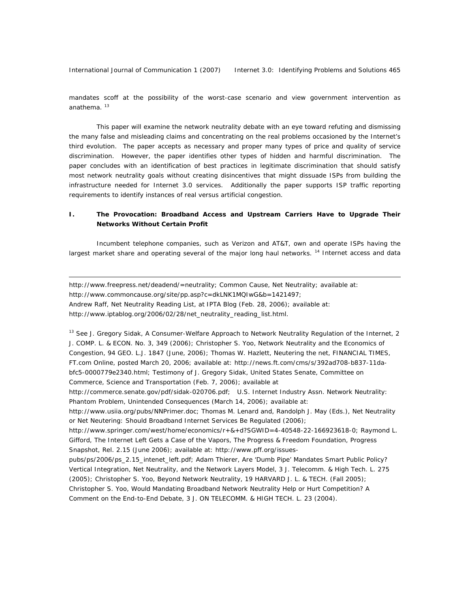International Journal of Communication 1 (2007) Internet 3.0: Identifying Problems and Solutions 465

 $\overline{a}$ 

mandates scoff at the possibility of the worst-case scenario and view government intervention as anathema.<sup>13</sup>

This paper will examine the network neutrality debate with an eye toward refuting and dismissing the many false and misleading claims and concentrating on the real problems occasioned by the Internet's third evolution. The paper accepts as necessary and proper many types of price and quality of service discrimination. However, the paper identifies other types of hidden and harmful discrimination. The paper concludes with an identification of best practices in legitimate discrimination that should satisfy most network neutrality goals without creating disincentives that might dissuade ISPs from building the infrastructure needed for Internet 3.0 services. Additionally the paper supports ISP traffic reporting requirements to identify instances of real versus artificial congestion.

# **I. The Provocation: Broadband Access and Upstream Carriers Have to Upgrade Their Networks Without Certain Profit**

Incumbent telephone companies, such as Verizon and AT&T, own and operate ISPs having the largest market share and operating several of the major long haul networks.<sup>14</sup> Internet access and data

http://www.freepress.net/deadend/=neutrality; Common Cause, Net Neutrality; available at: http://www.commoncause.org/site/pp.asp?c=dkLNK1MQIwG&b=1421497; Andrew Raff, Net Neutrality Reading List, at IPTA Blog (Feb. 28, 2006); available at: http://www.iptablog.org/2006/02/28/net\_neutrality\_reading\_list.html.

13 See J. Gregory Sidak, *A Consumer-Welfare Approach to Network Neutrality Regulation of the Internet*, 2 J. COMP. L. & ECON. No. 3, 349 (2006); Christopher S. Yoo, *Network Neutrality and the Economics of Congestion*, 94 GEO. L.J. 1847 (June, 2006); Thomas W. Hazlett, *Neutering the net*, FINANCIAL TIMES, FT.com Online, posted March 20, 2006; available at: http://news.ft.com/cms/s/392ad708-b837-11dabfc5-0000779e2340.html; Testimony of J. Gregory Sidak, United States Senate, Committee on Commerce, Science and Transportation (Feb. 7, 2006); available at

http://commerce.senate.gov/pdf/sidak-020706.pdf; U.S. Internet Industry Assn. Network Neutrality: Phantom Problem, Unintended Consequences (March 14, 2006); available at:

http://www.usiia.org/pubs/NNPrimer.doc; Thomas M. Lenard and, Randolph J. May (Eds.), Net Neutrality or Net Neutering: Should Broadband Internet Services Be Regulated (2006);

http://www.springer.com/west/home/economics/r+&+d?SGWID=4-40548-22-166923618-0; Raymond L. Gifford, *The Internet Left Gets a Case of the Vapors*, The Progress & Freedom Foundation, Progress Snapshot, Rel. 2.15 (June 2006); available at: http://www.pff.org/issues-

pubs/ps/2006/ps\_2.15\_intenet\_left.pdf; Adam Thierer, *Are 'Dumb Pipe' Mandates Smart Public Policy? Vertical Integration, Net Neutrality, and the Network Layers Model*, 3 J. Telecomm. & High Tech. L. 275 (2005); Christopher S. Yoo, *Beyond Network Neutrality*, 19 HARVARD J. L. & TECH. (Fall 2005); Christopher S. Yoo, *Would Mandating Broadband Network Neutrality Help or Hurt Competition? A Comment on the End-to-End Debate*, 3 J. ON TELECOMM. & HIGH TECH. L. 23 (2004).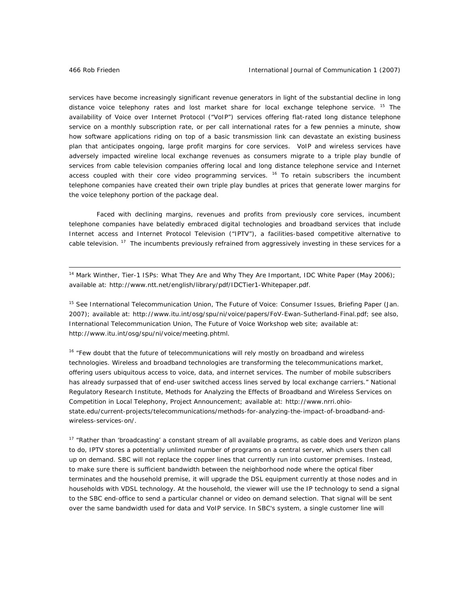services have become increasingly significant revenue generators in light of the substantial decline in long distance voice telephony rates and lost market share for local exchange telephone service. <sup>15</sup> The availability of Voice over Internet Protocol ("VoIP") services offering flat-rated long distance telephone service on a monthly subscription rate, or per call international rates for a few pennies a minute, show how software applications riding on top of a basic transmission link can devastate an existing business plan that anticipates ongoing, large profit margins for core services. VoIP and wireless services have adversely impacted wireline local exchange revenues as consumers migrate to a triple play bundle of services from cable television companies offering local and long distance telephone service and Internet access coupled with their core video programming services.  $16$  To retain subscribers the incumbent telephone companies have created their own triple play bundles at prices that generate lower margins for the voice telephony portion of the package deal.

Faced with declining margins, revenues and profits from previously core services, incumbent telephone companies have belatedly embraced digital technologies and broadband services that include Internet access and Internet Protocol Television ("IPTV"), a facilities-based competitive alternative to cable television.  $17$  The incumbents previously refrained from aggressively investing in these services for a

14 Mark Winther, *Tier-1 ISPs: What They Are and Why They Are Important*, IDC White Paper (May 2006); available at: http://www.ntt.net/english/library/pdf/IDCTier1-Whitepaper.pdf.

<sup>15</sup> *See* International Telecommunication Union, *The Future of Voice: Consumer Issues*, Briefing Paper (Jan. 2007); available at: http://www.itu.int/osg/spu/ni/voice/papers/FoV-Ewan-Sutherland-Final.pdf; *see also*, International Telecommunication Union, The Future of Voice Workshop web site; available at: http://www.itu.int/osg/spu/ni/voice/meeting.phtml.

<sup>16</sup> "Few doubt that the future of telecommunications will rely mostly on broadband and wireless technologies. Wireless and broadband technologies are transforming the telecommunications market, offering users ubiquitous access to voice, data, and internet services. The number of mobile subscribers has already surpassed that of end-user switched access lines served by local exchange carriers." National Regulatory Research Institute, Methods for Analyzing the Effects of Broadband and Wireless Services on Competition in Local Telephony, Project Announcement; available at: http://www.nrri.ohiostate.edu/current-projects/telecommunications/methods-for-analyzing-the-impact-of-broadband-andwireless-services-on/.

<sup>17</sup> "Rather than 'broadcasting' a constant stream of all available programs, as cable does and Verizon plans to do, IPTV stores a potentially unlimited number of programs on a central server, which users then call up on demand. SBC will not replace the copper lines that currently run into customer premises. Instead, to make sure there is sufficient bandwidth between the neighborhood node where the optical fiber terminates and the household premise, it will upgrade the DSL equipment currently at those nodes and in households with VDSL technology. At the household, the viewer will use the IP technology to send a signal to the SBC end-office to send a particular channel or video on demand selection. That signal will be sent over the same bandwidth used for data and VoIP service. In SBC's system, a single customer line will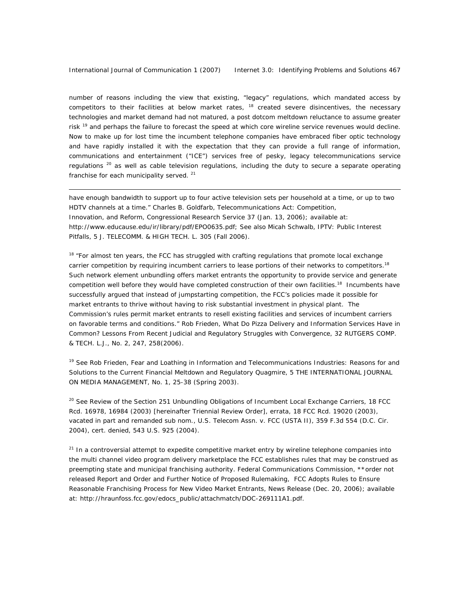number of reasons including the view that existing, "legacy" regulations, which mandated access by competitors to their facilities at below market rates,  $18$  created severe disincentives, the necessary technologies and market demand had not matured, a post dotcom meltdown reluctance to assume greater risk <sup>19</sup> and perhaps the failure to forecast the speed at which core wireline service revenues would decline. Now to make up for lost time the incumbent telephone companies have embraced fiber optic technology and have rapidly installed it with the expectation that they can provide a full range of information, communications and entertainment ("ICE") services free of pesky, legacy telecommunications service regulations  $^{20}$  as well as cable television regulations, including the duty to secure a separate operating franchise for each municipality served.<sup>21</sup>

have enough bandwidth to support up to four active television sets per household at a time, or up to two HDTV channels at a time." Charles B. Goldfarb, *Telecommunications Act: Competition, Innovation, and Reform*, Congressional Research Service 37 (Jan. 13, 2006); available at: http://www.educause.edu/ir/library/pdf/EPO0635.pdf; *See also* Micah Schwalb, *IPTV: Public Interest Pitfalls*, 5 J. TELECOMM. & HIGH TECH. L. 305 (Fall 2006).

<sup>18</sup> "For almost ten years, the FCC has struggled with crafting regulations that promote local exchange carrier competition by requiring incumbent carriers to lease portions of their networks to competitors.<sup>18</sup> Such network element unbundling offers market entrants the opportunity to provide service and generate competition well before they would have completed construction of their own facilities.<sup>18</sup> Incumbents have successfully argued that instead of jumpstarting competition, the FCC's policies made it possible for market entrants to thrive without having to risk substantial investment in physical plant. The Commission's rules permit market entrants to resell existing facilities and services of incumbent carriers on favorable terms and conditions." Rob Frieden, What Do Pizza Delivery and Information Services Have in Common? Lessons From Recent Judicial and Regulatory Struggles with Convergence, 32 RUTGERS COMP. & TECH. L.J., No. 2, 247, 258(2006).

<sup>19</sup> See Rob Frieden, Fear and Loathing in Information and Telecommunications Industries: Reasons for and Solutions to the Current Financial Meltdown and Regulatory Quagmire, 5 THE INTERNATIONAL JOURNAL ON MEDIA MANAGEMENT, No. 1, 25-38 (Spring 2003).

<sup>20</sup> *See* Review of the Section 251 Unbundling Obligations of Incumbent Local Exchange Carriers, 18 FCC Rcd. 16978, 16984 (2003) [hereinafter Triennial Review Order], errata, 18 FCC Rcd. 19020 (2003), *vacated in part and remanded sub no*m., U.S. Telecom Assn. v. FCC (USTA II), 359 F.3d 554 (D.C. Cir. 2004), *cert. denied*, 543 U.S. 925 (2004).

 $21$  In a controversial attempt to expedite competitive market entry by wireline telephone companies into the multi channel video program delivery marketplace the FCC establishes rules that may be construed as preempting state and municipal franchising authority. Federal Communications Commission, \*\*order not released Report and Order and Further Notice of Proposed Rulemaking, FCC Adopts Rules to Ensure Reasonable Franchising Process for New Video Market Entrants, News Release (Dec. 20, 2006); available at: http://hraunfoss.fcc.gov/edocs\_public/attachmatch/DOC-269111A1.pdf.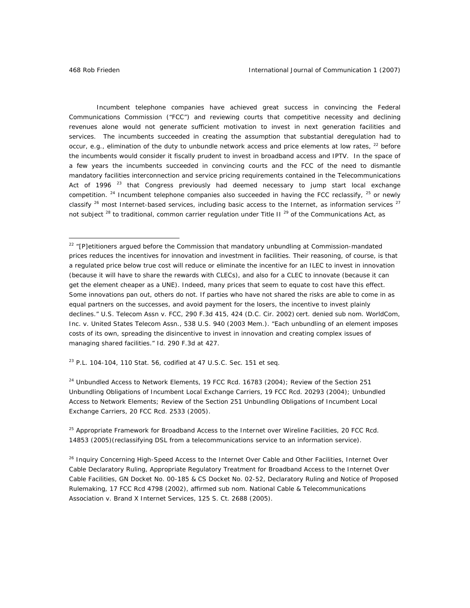Incumbent telephone companies have achieved great success in convincing the Federal Communications Commission ("FCC") and reviewing courts that competitive necessity and declining revenues alone would not generate sufficient motivation to invest in next generation facilities and services. The incumbents succeeded in creating the assumption that substantial deregulation had to occur, e.g., elimination of the duty to unbundle network access and price elements at low rates,  $^{22}$  before the incumbents would consider it fiscally prudent to invest in broadband access and IPTV. In the space of a few years the incumbents succeeded in convincing courts and the FCC of the need to dismantle mandatory facilities interconnection and service pricing requirements contained in the Telecommunications Act of 1996  $^{23}$  that Congress previously had deemed necessary to jump start local exchange competition.  $24$  Incumbent telephone companies also succeeded in having the FCC reclassify,  $25$  or newly classify  $26$  most Internet-based services, including basic access to the Internet, as information services  $27$ not subject  $^{28}$  to traditional, common carrier regulation under Title II  $^{29}$  of the Communications Act, as

23 P.L. 104-104, 110 Stat. 56, *codified at* 47 U.S.C. Sec. 151 *et seq*.

 $24$  Unbundled Access to Network Elements, 19 FCC Rcd. 16783 (2004); Review of the Section 251 Unbundling Obligations of Incumbent Local Exchange Carriers, 19 FCC Rcd. 20293 (2004); Unbundled Access to Network Elements; Review of the Section 251 Unbundling Obligations of Incumbent Local Exchange Carriers, 20 FCC Rcd. 2533 (2005).

<sup>25</sup> Appropriate Framework for Broadband Access to the Internet over Wireline Facilities, 20 FCC Rcd. 14853 (2005)(reclassifying DSL from a telecommunications service to an information service).

<sup>&</sup>lt;sup>22</sup> "[P]etitioners argued before the Commission that mandatory unbundling at Commission-mandated prices reduces the incentives for innovation and investment in facilities. Their reasoning, of course, is that a regulated price below true cost will reduce or eliminate the incentive for an ILEC to invest in innovation (because it will have to share the rewards with CLECs), and also for a CLEC to innovate (because it can get the element cheaper as a UNE). Indeed, many prices that *seem* to equate to cost have this effect. Some innovations pan out, others do not. If parties who have not shared the risks are able to come in as equal partners on the successes, and avoid payment for the losers, the incentive to invest plainly declines." U.S. Telecom Assn v. FCC, 290 F.3d 415, 424 (D.C. Cir. 2002) *cert. denied sub nom.* WorldCom, Inc. v. United States Telecom Assn., 538 U.S. 940 (2003 Mem.). "Each unbundling of an element imposes costs of its own, spreading the disincentive to invest in innovation and creating complex issues of managing shared facilities." *Id*. 290 F.3d at 427.

<sup>&</sup>lt;sup>26</sup> Inquiry Concerning High-Speed Access to the Internet Over Cable and Other Facilities, Internet Over Cable Declaratory Ruling, Appropriate Regulatory Treatment for Broadband Access to the Internet Over Cable Facilities, GN Docket No. 00-185 & CS Docket No. 02-52, Declaratory Ruling and Notice of Proposed Rulemaking, 17 FCC Rcd 4798 (2002), *affirmed sub nom*. National Cable & Telecommunications Association v. Brand X Internet Services, 125 S. Ct. 2688 (2005).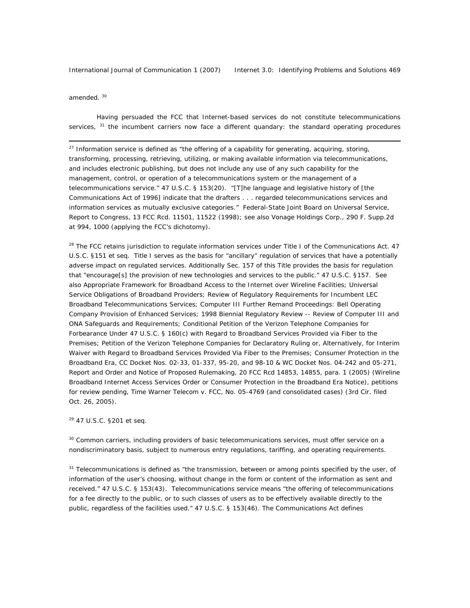amended.<sup>30</sup>

 $\overline{a}$ 

Having persuaded the FCC that Internet-based services do not constitute telecommunications services,  $31$  the incumbent carriers now face a different quandary: the standard operating procedures

<sup>27</sup> Information service is defined as "the offering of a capability for generating, acquiring, storing, transforming, processing, retrieving, utilizing, or making available information via telecommunications, and includes electronic publishing, but does not include any use of any such capability for the management, control, or operation of a telecommunications system or the management of a telecommunications service." 47 U.S.C. § 153(20). "[T]he language and legislative history of [the Communications Act of 1996] indicate that the drafters . . . regarded telecommunications services and information services as mutually exclusive categories." Federal-State Joint Board on Universal Service, Report to Congress, 13 FCC Rcd. 11501, 11522 (1998); *see also* Vonage Holdings Corp., 290 F. Supp.2d at 994, 1000 (applying the FCC's dichotomy).

<sup>28</sup> The FCC retains jurisdiction to regulate information services under Title I of the Communications Act. 47 U.S.C. §151 et seq. Title I serves as the basis for "ancillary" regulation of services that have a potentially adverse impact on regulated services. Additionally Sec. 157 of this Title provides the basis for regulation that "encourage[s] the provision of new technologies and services to the public." 47 U.S.C. §157. *See also* Appropriate Framework for Broadband Access to the Internet over Wireline Facilities; Universal Service Obligations of Broadband Providers; Review of Regulatory Requirements for Incumbent LEC Broadband Telecommunications Services; Computer III Further Remand Proceedings: Bell Operating Company Provision of Enhanced Services; 1998 Biennial Regulatory Review -- Review of Computer III and ONA Safeguards and Requirements; Conditional Petition of the Verizon Telephone Companies for Forbearance Under 47 U.S.C. § 160(c) with Regard to Broadband Services Provided via Fiber to the Premises; Petition of the Verizon Telephone Companies for Declaratory Ruling or, Alternatively, for Interim Waiver with Regard to Broadband Services Provided Via Fiber to the Premises; Consumer Protection in the Broadband Era, CC Docket Nos. 02-33, 01-337, 95-20, and 98-10 & WC Docket Nos. 04-242 and 05-271, Report and Order and Notice of Proposed Rulemaking, 20 FCC Rcd 14853, 14855, para. 1 (2005) (Wireline Broadband Internet Access Services Order or Consumer Protection in the Broadband Era Notice), *petitions for review pending*, Time Warner Telecom v. FCC, No. 05-4769 (and consolidated cases) (3rd Cir. filed Oct. 26, 2005).

### 29 47 U.S.C. §201 *et seq*.

<sup>30</sup> Common carriers, including providers of basic telecommunications services, must offer service on a nondiscriminatory basis, subject to numerous entry regulations, tariffing, and operating requirements.

 $31$  Telecommunications is defined as "the transmission, between or among points specified by the user, of information of the user's choosing, without change in the form or content of the information as sent and received." 47 U.S.C. § 153(43). Telecommunications service means "the offering of telecommunications for a fee directly to the public, or to such classes of users as to be effectively available directly to the public, regardless of the facilities used." 47 U.S.C. § 153(46). The Communications Act defines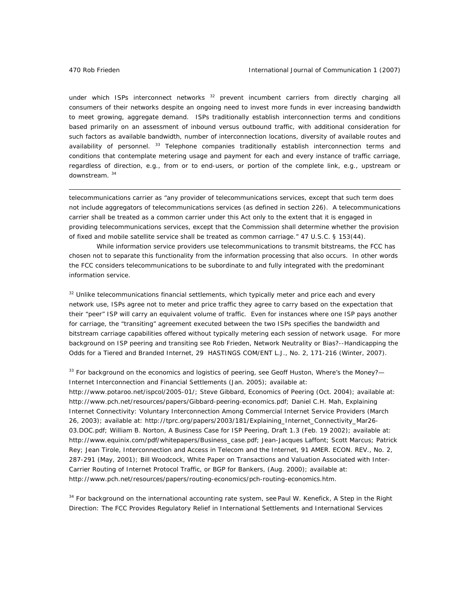under which ISPs interconnect networks  $32$  prevent incumbent carriers from directly charging all consumers of their networks despite an ongoing need to invest more funds in ever increasing bandwidth to meet growing, aggregate demand. ISPs traditionally establish interconnection terms and conditions based primarily on an assessment of inbound versus outbound traffic, with additional consideration for such factors as available bandwidth, number of interconnection locations, diversity of available routes and availability of personnel. <sup>33</sup> Telephone companies traditionally establish interconnection terms and conditions that contemplate metering usage and payment for each and every instance of traffic carriage, regardless of direction, e.g., from or to end-users, or portion of the complete link, e.g., upstream or downstream. <sup>34</sup>

telecommunications carrier as "any provider of telecommunications services, except that such term does not include aggregators of telecommunications services (as defined in section 226). A telecommunications carrier shall be treated as a common carrier under this Act only to the extent that it is engaged in providing telecommunications services, except that the Commission shall determine whether the provision of fixed and mobile satellite service shall be treated as common carriage." 47 U.S.C. § 153(44).

 While information service providers use telecommunications to transmit bitstreams, the FCC has chosen not to separate this functionality from the information processing that also occurs. In other words the FCC considers telecommunications to be subordinate to and fully integrated with the predominant information service.

 $32$  Unlike telecommunications financial settlements, which typically meter and price each and every network use, ISPs agree not to meter and price traffic they agree to carry based on the expectation that their "peer" ISP will carry an equivalent volume of traffic. Even for instances where one ISP pays another for carriage, the "transiting" agreement executed between the two ISPs specifies the bandwidth and bitstream carriage capabilities offered without typically metering each session of network usage. For more background on ISP peering and transiting *see* Rob Frieden, Network Neutrality or Bias?--Handicapping the Odds for a Tiered and Branded Internet, 29 HASTINGS COM/ENT L.J., No. 2, 171-216 (Winter, 2007).

33 For background on the economics and logistics of peering, *see* Geoff Huston, *Where's the Money?— Internet Interconnection and Financial Settlements* (Jan. 2005); available at:

http://www.potaroo.net/ispcol/2005-01/; Steve Gibbard, *Economics of Peering* (Oct. 2004); available at: http://www.pch.net/resources/papers/Gibbard-peering-economics.pdf; Daniel C.H. Mah, *Explaining Internet Connectivity: Voluntary Interconnection Among Commercial Internet Service Providers* (March 26, 2003); available at: http://tprc.org/papers/2003/181/Explaining\_Internet\_Connectivity\_Mar26- 03.DOC.pdf; William B. Norton, *A Business Case for ISP Peering*, Draft 1.3 (Feb. 19 2002); available at: http://www.equinix.com/pdf/whitepapers/Business\_case.pdf; Jean-Jacques Laffont; Scott Marcus; Patrick Rey; Jean Tirole, *Interconnection and Access in Telecom and the Internet*, 91 AMER. ECON. REV., No. 2, 287-291 (May, 2001); Bill Woodcock, *White Paper on Transactions and Valuation Associated with Inter-Carrier Routing of Internet Protocol Traffic*, or BGP for Bankers, (Aug. 2000); available at: http://www.pch.net/resources/papers/routing-economics/pch-routing-economics.htm.

34 For background on the international accounting rate system, see Paul W. Kenefick, *A Step in the Right Direction: The FCC Provides Regulatory Relief in International Settlements and International Services*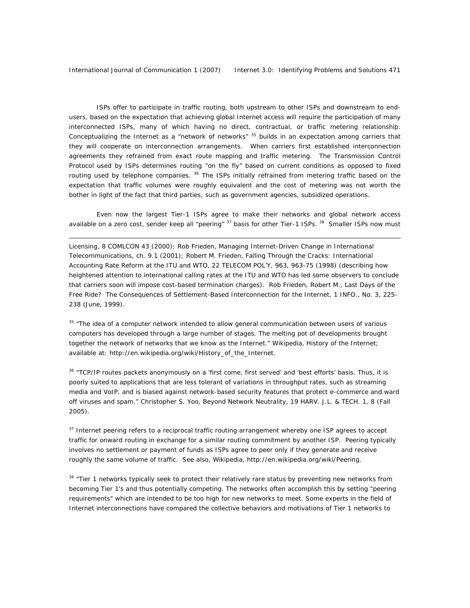ISPs offer to participate in traffic routing, both upstream to other ISPs and downstream to endusers, based on the expectation that achieving global Internet access will require the participation of many interconnected ISPs, many of which having no direct, contractual, or traffic metering relationship. Conceptualizing the Internet as a "network of networks" <sup>35</sup> builds in an expectation among carriers that they will cooperate on interconnection arrangements. When carriers first established interconnection agreements they refrained from exact route mapping and traffic metering. The Transmission Control Protocol used by ISPs determines routing "on the fly" based on current conditions as opposed to fixed routing used by telephone companies. <sup>36</sup> The ISPs initially refrained from metering traffic based on the expectation that traffic volumes were roughly equivalent and the cost of metering was not worth the bother in light of the fact that third parties, such as government agencies, subsidized operations.

Even now the largest Tier-1 ISPs agree to make their networks and global network access available on a zero cost, sender keep all "peering" <sup>37</sup> basis for other Tier-1 ISPs. <sup>38</sup> Smaller ISPs now must

 $\overline{a}$ 

*Licensing*, 8 COMLCON 43 (2000); Rob Frieden, *Managing Internet-Driven Change in International Telecommunications*, ch. 9.1 (2001); Robert M. Frieden, *Falling Through the Cracks: International Accounting Rate Reform at the ITU and WTO*, 22 TELECOM POL'Y, 963, 963-75 (1998) (describing how heightened attention to international calling rates at the ITU and WTO has led some observers to conclude that carriers soon will impose cost-based termination charges). Rob Frieden, Robert M., Last Days of the Free Ride? The Consequences of Settlement-Based Interconnection for the Internet, 1 INFO., No. 3, 225- 238 (June, 1999).

<sup>35</sup> "The idea of a computer network intended to allow general communication between users of various computers has developed through a large number of stages. The melting pot of developments brought together the network of networks that we know as the Internet." Wikipedia, History of the Internet; available at: http://en.wikipedia.org/wiki/History\_of\_the\_Internet.

<sup>36</sup> "TCP/IP routes packets anonymously on a 'first come, first served' and 'best efforts' basis. Thus, it is poorly suited to applications that are less tolerant of variations in throughput rates, such as streaming media and VoIP, and is biased against network-based security features that protect e-commerce and ward off viruses and spam." Christopher S. Yoo, *Beyond Network Neutrality*, 19 HARV. J.L. & TECH. 1, 8 (Fall 2005).

<sup>37</sup> Internet peering refers to a reciprocal traffic routing arrangement whereby one ISP agrees to accept traffic for onward routing in exchange for a similar routing commitment by another ISP. Peering typically involves no settlement or payment of funds as ISPs agree to peer only if they generate and receive roughly the same volume of traffic. See also, Wikipedia, http://en.wikipedia.org/wiki/Peering.

<sup>38</sup> "Tier 1 networks typically seek to protect their relatively rare status by preventing new networks from becoming Tier 1's and thus potentially competing. The networks often accomplish this by setting "peering requirements" which are intended to be too high for new networks to meet. Some experts in the field of Internet interconnections have compared the collective behaviors and motivations of Tier 1 networks to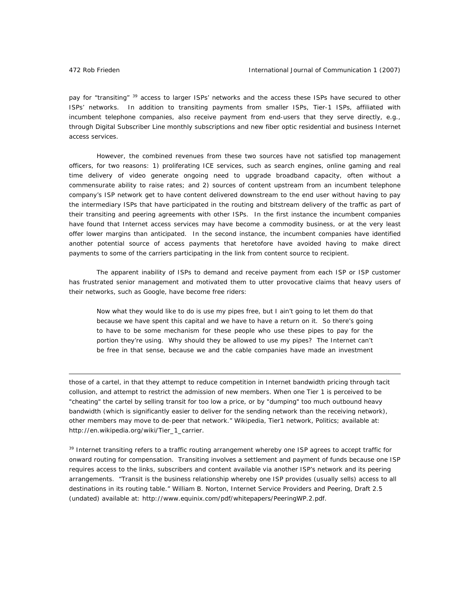pay for "transiting" <sup>39</sup> access to larger ISPs' networks and the access these ISPs have secured to other ISPs' networks. In addition to transiting payments from smaller ISPs, Tier-1 ISPs, affiliated with incumbent telephone companies, also receive payment from end-users that they serve directly, e.g., through Digital Subscriber Line monthly subscriptions and new fiber optic residential and business Internet access services.

However, the combined revenues from these two sources have not satisfied top management officers, for two reasons: 1) proliferating ICE services, such as search engines, online gaming and real time delivery of video generate ongoing need to upgrade broadband capacity, often without a commensurate ability to raise rates; and 2) sources of content upstream from an incumbent telephone company's ISP network get to have content delivered downstream to the end user without having to pay the intermediary ISPs that have participated in the routing and bitstream delivery of the traffic as part of their transiting and peering agreements with other ISPs. In the first instance the incumbent companies have found that Internet access services may have become a commodity business, or at the very least offer lower margins than anticipated. In the second instance, the incumbent companies have identified another potential source of access payments that heretofore have avoided having to make direct payments to some of the carriers participating in the link from content source to recipient.

The apparent inability of ISPs to demand and receive payment from each ISP or ISP customer has frustrated senior management and motivated them to utter provocative claims that heavy users of their networks, such as Google, have become free riders:

Now what they would like to do is use my pipes free, but I ain't going to let them do that because we have spent this capital and we have to have a return on it. So there's going to have to be some mechanism for these people who use these pipes to pay for the portion they're using. Why should they be allowed to use my pipes? The Internet can't be free in that sense, because we and the cable companies have made an investment

those of a cartel, in that they attempt to reduce competition in Internet bandwidth pricing through tacit collusion, and attempt to restrict the admission of new members. When one Tier 1 is perceived to be "cheating" the cartel by selling transit for too low a price, or by "dumping" too much outbound heavy bandwidth (which is significantly easier to deliver for the sending network than the receiving network), other members may move to de-peer that network." Wikipedia, Tier1 network, Politics; available at: http://en.wikipedia.org/wiki/Tier\_1\_carrier.

<sup>39</sup> Internet transiting refers to a traffic routing arrangement whereby one ISP agrees to accept traffic for onward routing for compensation. Transiting involves a settlement and payment of funds because one ISP requires access to the links, subscribers and content available via another ISP's network and its peering arrangements. "Transit is the business relationship whereby one ISP provides (usually sells) access to all destinations in its routing table." William B. Norton, *Internet Service Providers and Peering*, Draft 2.5 (undated) available at: http://www.equinix.com/pdf/whitepapers/PeeringWP.2.pdf.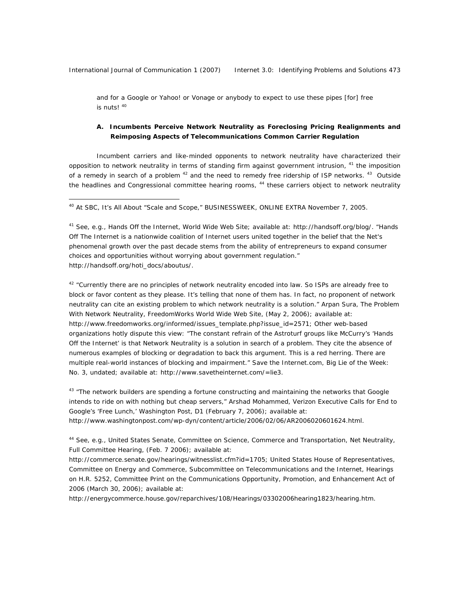and for a Google or Yahoo! or Vonage or anybody to expect to use these pipes [for] free is nuts! <sup>40</sup>

# **A. Incumbents Perceive Network Neutrality as Foreclosing Pricing Realignments and Reimposing Aspects of Telecommunications Common Carrier Regulation**

Incumbent carriers and like-minded opponents to network neutrality have characterized their opposition to network neutrality in terms of standing firm against government intrusion, <sup>41</sup> the imposition of a remedy in search of a problem <sup>42</sup> and the need to remedy free ridership of ISP networks. <sup>43</sup> Outside the headlines and Congressional committee hearing rooms, <sup>44</sup> these carriers object to network neutrality

40 At SBC, It's All About "Scale and Scope," BUSINESSWEEK, ONLINE EXTRA November 7, 2005.

<sup>41</sup> *See, e.g.*, Hands Off the Internet, World Wide Web Site; available at: http://handsoff.org/blog/. "Hands Off The Internet is a nationwide coalition of Internet users united together in the belief that the Net's phenomenal growth over the past decade stems from the ability of entrepreneurs to expand consumer choices and opportunities without worrying about government regulation." http://handsoff.org/hoti\_docs/aboutus/.

42 "Currently there are no principles of network neutrality encoded into law. So ISPs are already free to block or favor content as they please. It's telling that none of them has. In fact, no proponent of network neutrality can cite an existing problem to which network neutrality is a solution." Arpan Sura, *The Problem With Network Neutrality*, FreedomWorks World Wide Web Site, (May 2, 2006); available at: http://www.freedomworks.org/informed/issues\_template.php?issue\_id=2571; Other web-based organizations hotly dispute this view: "The constant refrain of the Astroturf groups like McCurry's 'Hands Off the Internet' is that Network Neutrality is a solution in search of a problem. They cite the absence of numerous examples of blocking or degradation to back this argument. This is a red herring. There are multiple real-world instances of blocking and impairment." Save the Internet.com, Big Lie of the Week: No. 3, undated; available at: http://www.savetheinternet.com/=lie3.

 $43$  "The network builders are spending a fortune constructing and maintaining the networks that Google intends to ride on with nothing but cheap servers," Arshad Mohammed, Verizon Executive Calls for End to Google's 'Free Lunch,' Washington Post, D1 (February 7, 2006); available at: http://www.washingtonpost.com/wp-dyn/content/article/2006/02/06/AR2006020601624.html.

<sup>44</sup> *See, e.g.*, United States Senate, Committee on Science, Commerce and Transportation, Net Neutrality, Full Committee Hearing, (Feb. 7 2006); available at:

http://commerce.senate.gov/hearings/witnesslist.cfm?id=1705; United States House of Representatives, Committee on Energy and Commerce, Subcommittee on Telecommunications and the Internet, Hearings *on* H.R. 5252, Committee Print on the Communications Opportunity, Promotion, and Enhancement Act of 2006 (March 30, 2006); available at:

http://energycommerce.house.gov/reparchives/108/Hearings/03302006hearing1823/hearing.htm.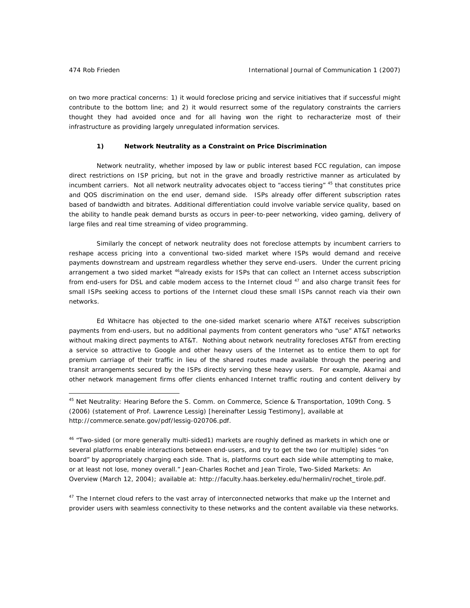on two more practical concerns: 1) it would foreclose pricing and service initiatives that if successful might contribute to the bottom line; and 2) it would resurrect some of the regulatory constraints the carriers thought they had avoided once and for all having won the right to recharacterize most of their infrastructure as providing largely unregulated information services.

#### **1) Network Neutrality as a Constraint on Price Discrimination**

Network neutrality, whether imposed by law or public interest based FCC regulation, can impose direct restrictions on ISP pricing, but not in the grave and broadly restrictive manner as articulated by incumbent carriers. Not all network neutrality advocates object to "access tiering" <sup>45</sup> that constitutes price and QOS discrimination on the end user, demand side. ISPs already offer different subscription rates based of bandwidth and bitrates. Additional differentiation could involve variable service quality, based on the ability to handle peak demand bursts as occurs in peer-to-peer networking, video gaming, delivery of large files and real time streaming of video programming.

Similarly the concept of network neutrality does not foreclose attempts by incumbent carriers to reshape access pricing into a conventional two-sided market where ISPs would demand and receive payments downstream and upstream regardless whether they serve end-users. Under the current pricing arrangement a two sided market <sup>46</sup>already exists for ISPs that can collect an Internet access subscription from end-users for DSL and cable modem access to the Internet cloud <sup>47</sup> and also charge transit fees for small ISPs seeking access to portions of the Internet cloud these small ISPs cannot reach via their own networks.

Ed Whitacre has objected to the one-sided market scenario where AT&T receives subscription payments from end-users, but no additional payments from content generators who "use" AT&T networks without making direct payments to AT&T. Nothing about network neutrality forecloses AT&T from erecting a service so attractive to Google and other heavy users of the Internet as to entice them to opt for premium carriage of their traffic in lieu of the shared routes made available through the peering and transit arrangements secured by the ISPs directly serving these heavy users. For example, Akamai and other network management firms offer clients enhanced Internet traffic routing and content delivery by

 $47$  The Internet cloud refers to the vast array of interconnected networks that make up the Internet and provider users with seamless connectivity to these networks and the content available via these networks.

<sup>45</sup> Net Neutrality: Hearing Before the S. Comm. on Commerce, Science & Transportation, 109th Cong. 5 (2006) (statement of Prof. Lawrence Lessig) [hereinafter Lessig Testimony], available at http://commerce.senate.gov/pdf/lessig-020706.pdf.

<sup>46 &</sup>quot;Two-sided (or more generally multi-sided1) markets are roughly defined as markets in which one or several platforms enable interactions between end-users, and try to get the two (or multiple) sides "on board" by appropriately charging each side. That is, platforms court each side while attempting to make, or at least not lose, money overall." Jean-Charles Rochet and Jean Tirole, *Two-Sided Markets: An Overview* (March 12, 2004); available at: http://faculty.haas.berkeley.edu/hermalin/rochet\_tirole.pdf.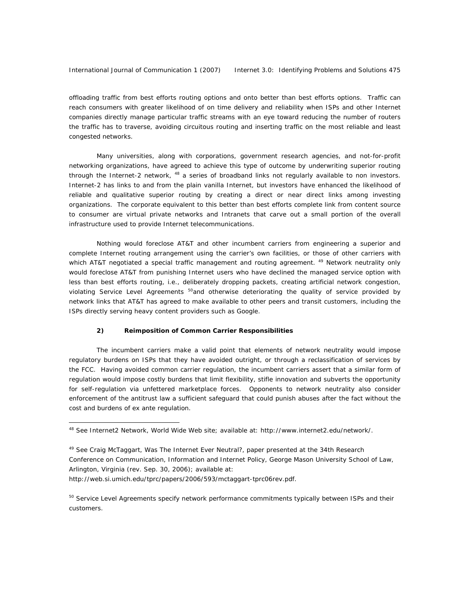offloading traffic from best efforts routing options and onto better than best efforts options. Traffic can reach consumers with greater likelihood of on time delivery and reliability when ISPs and other Internet companies directly manage particular traffic streams with an eye toward reducing the number of routers the traffic has to traverse, avoiding circuitous routing and inserting traffic on the most reliable and least congested networks.

Many universities, along with corporations, government research agencies, and not-for-profit networking organizations, have agreed to achieve this type of outcome by underwriting superior routing through the Internet-2 network, <sup>48</sup> a series of broadband links not regularly available to non investors. Internet-2 has links to and from the plain vanilla Internet, but investors have enhanced the likelihood of reliable and qualitative superior routing by creating a direct or near direct links among investing organizations. The corporate equivalent to this better than best efforts complete link from content source to consumer are virtual private networks and Intranets that carve out a small portion of the overall infrastructure used to provide Internet telecommunications.

Nothing would foreclose AT&T and other incumbent carriers from engineering a superior and complete Internet routing arrangement using the carrier's own facilities, or those of other carriers with which AT&T negotiated a special traffic management and routing agreement. <sup>49</sup> Network neutrality only would foreclose AT&T from punishing Internet users who have declined the managed service option with less than best efforts routing, i.e., deliberately dropping packets, creating artificial network congestion, violating Service Level Agreements <sup>50</sup>and otherwise deteriorating the quality of service provided by network links that AT&T has agreed to make available to other peers and transit customers, including the ISPs directly serving heavy content providers such as Google.

#### **2) Reimposition of Common Carrier Responsibilities**

The incumbent carriers make a valid point that elements of network neutrality would impose regulatory burdens on ISPs that they have avoided outright, or through a reclassification of services by the FCC. Having avoided common carrier regulation, the incumbent carriers assert that a similar form of regulation would impose costly burdens that limit flexibility, stifle innovation and subverts the opportunity for self-regulation via unfettered marketplace forces. Opponents to network neutrality also consider enforcement of the antitrust law a sufficient safeguard that could punish abuses after the fact without the cost and burdens of ex ante regulation.

 $\overline{a}$ 

<sup>48</sup> *See* Internet2 Network, World Wide Web site; available at: http://www.internet2.edu/network/.

<sup>49</sup> *See* Craig McTaggart, *Was The Internet Ever Neutral*?, paper presented at the 34th Research Conference on Communication, Information and Internet Policy, George Mason University School of Law, Arlington, Virginia (rev. Sep. 30, 2006); available at:

http://web.si.umich.edu/tprc/papers/2006/593/mctaggart-tprc06rev.pdf.

<sup>&</sup>lt;sup>50</sup> Service Level Agreements specify network performance commitments typically between ISPs and their customers.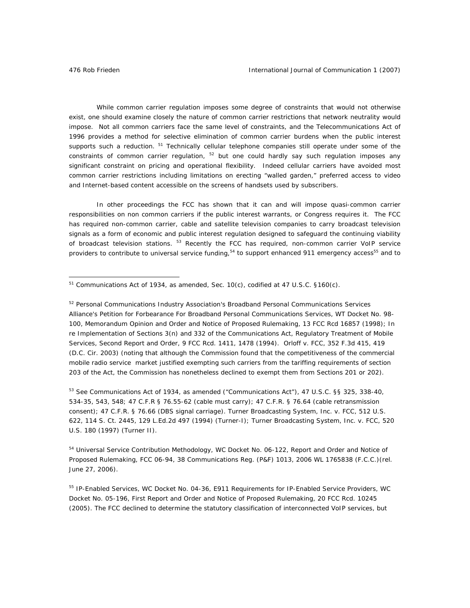While common carrier regulation imposes some degree of constraints that would not otherwise exist, one should examine closely the nature of common carrier restrictions that network neutrality would impose. Not all common carriers face the same level of constraints, and the Telecommunications Act of 1996 provides a method for selective elimination of common carrier burdens when the public interest supports such a reduction. <sup>51</sup> Technically cellular telephone companies still operate under some of the constraints of common carrier regulation,  $52$  but one could hardly say such regulation imposes any significant constraint on pricing and operational flexibility. Indeed cellular carriers have avoided most common carrier restrictions including limitations on erecting "walled garden," preferred access to video and Internet-based content accessible on the screens of handsets used by subscribers.

In other proceedings the FCC has shown that it can and will impose quasi-common carrier responsibilities on non common carriers if the public interest warrants, or Congress requires it. The FCC has required non-common carrier, cable and satellite television companies to carry broadcast television signals as a form of economic and public interest regulation designed to safeguard the continuing viability of broadcast television stations. <sup>53</sup> Recently the FCC has required, non-common carrier VoIP service providers to contribute to universal service funding,<sup>54</sup> to support enhanced 911 emergency access<sup>55</sup> and to

<sup>52</sup> Personal Communications Industry Association's Broadband Personal Communications Services Alliance's Petition for Forbearance For Broadband Personal Communications Services, WT Docket No. 98- 100, Memorandum Opinion and Order and Notice of Proposed Rulemaking, 13 FCC Rcd 16857 (1998); In re Implementation of Sections 3(n) and 332 of the Communications Act, Regulatory Treatment of Mobile Services, Second Report and Order, 9 FCC Rcd. 1411, 1478 (1994). Orloff v. FCC, 352 F.3d 415, 419 (D.C. Cir. 2003) (noting that although the Commission found that the competitiveness of the commercial mobile radio service market justified exempting such carriers from the tariffing requirements of section 203 of the Act, the Commission has nonetheless declined to exempt them from Sections 201 or 202).

<sup>53</sup> *See* Communications Act of 1934, as amended ("Communications Act"), 47 U.S.C. §§ 325, 338-40, 534-35, 543, 548; 47 C.F.R § 76.55-62 (cable must carry); 47 C.F.R. § 76.64 (cable retransmission consent); 47 C.F.R. § 76.66 (DBS signal carriage). Turner Broadcasting System, Inc. v. FCC, 512 U.S. 622, 114 S. Ct. 2445, 129 L.Ed.2d 497 (1994) (Turner-I); Turner Broadcasting System, Inc. v. FCC, 520 U.S. 180 (1997) (Turner II).

<sup>54</sup> Universal Service Contribution Methodology, WC Docket No. 06-122, Report and Order and Notice of Proposed Rulemaking, FCC 06-94, 38 Communications Reg. (P&F) 1013, 2006 WL 1765838 (F.C.C.)(rel. June 27, 2006).

<sup>55</sup> IP-Enabled Services, WC Docket No. 04-36, E911 Requirements for IP-Enabled Service Providers, WC Docket No. 05-196, First Report and Order and Notice of Proposed Rulemaking, 20 FCC Rcd. 10245 (2005). The FCC declined to determine the statutory classification of interconnected VoIP services, but

<sup>51</sup> Communications Act of 1934, as amended, Sec. 10(c), *codified at* 47 U.S.C. §160(c).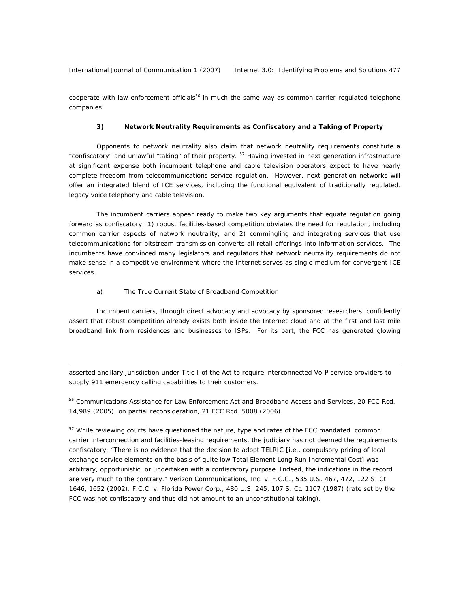International Journal of Communication 1 (2007) Internet 3.0: Identifying Problems and Solutions 477

cooperate with law enforcement officials<sup>56</sup> in much the same way as common carrier regulated telephone companies.

#### **3) Network Neutrality Requirements as Confiscatory and a Taking of Property**

Opponents to network neutrality also claim that network neutrality requirements constitute a "confiscatory" and unlawful "taking" of their property. 57 Having invested in next generation infrastructure at significant expense both incumbent telephone and cable television operators expect to have nearly complete freedom from telecommunications service regulation. However, next generation networks will offer an integrated blend of ICE services, including the functional equivalent of traditionally regulated, legacy voice telephony and cable television.

The incumbent carriers appear ready to make two key arguments that equate regulation going forward as confiscatory: 1) robust facilities-based competition obviates the need for regulation, including common carrier aspects of network neutrality; and 2) commingling and integrating services that use telecommunications for bitstream transmission converts all retail offerings into information services. The incumbents have convinced many legislators and regulators that network neutrality requirements do not make sense in a competitive environment where the Internet serves as single medium for convergent ICE services.

#### a) The True Current State of Broadband Competition

 $\overline{a}$ 

Incumbent carriers, through direct advocacy and advocacy by sponsored researchers, confidently assert that robust competition already exists both inside the Internet cloud and at the first and last mile broadband link from residences and businesses to ISPs. For its part, the FCC has generated glowing

asserted ancillary jurisdiction under Title I of the Act to require interconnected VoIP service providers to supply 911 emergency calling capabilities to their customers.

56 Communications Assistance for Law Enforcement Act and Broadband Access and Services, 20 FCC Rcd. 14,989 (2005), *on partial reconsideration*, 21 FCC Rcd. 5008 (2006).

<sup>57</sup> While reviewing courts have questioned the nature, type and rates of the FCC mandated common carrier interconnection and facilities-leasing requirements, the judiciary has not deemed the requirements confiscatory: "There is no evidence that the decision to adopt TELRIC [i.e., compulsory pricing of local exchange service elements on the basis of quite low Total Element Long Run Incremental Cost] was arbitrary, opportunistic, or undertaken with a confiscatory purpose. Indeed, the indications in the record are very much to the contrary." Verizon Communications, Inc. v. F.C.C., 535 U.S. 467, 472, 122 S. Ct. 1646, 1652 (2002). F.C.C. v. Florida Power Corp., 480 U.S. 245, 107 S. Ct. 1107 (1987) (rate set by the FCC was not confiscatory and thus did not amount to an unconstitutional taking).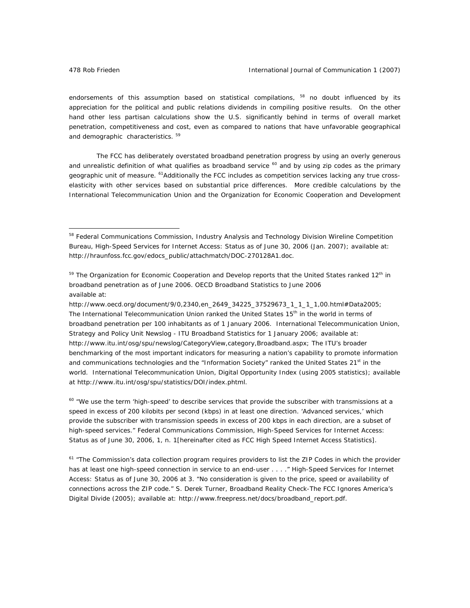endorsements of this assumption based on statistical compilations, <sup>58</sup> no doubt influenced by its appreciation for the political and public relations dividends in compiling positive results. On the other hand other less partisan calculations show the U.S. significantly behind in terms of overall market penetration, competitiveness and cost, even as compared to nations that have unfavorable geographical and demographic characteristics.<sup>59</sup>

The FCC has deliberately overstated broadband penetration progress by using an overly generous and unrealistic definition of what qualifies as broadband service  $60$  and by using zip codes as the primary geographic unit of measure. <sup>61</sup>Additionally the FCC includes as competition services lacking any true crosselasticity with other services based on substantial price differences. More credible calculations by the International Telecommunication Union and the Organization for Economic Cooperation and Development

[http://www.oecd.org/document/9/0,2340,en\\_2649\\_34225\\_37529673\\_1\\_1\\_1\\_1,00.html#Data2005;](http://www.oecd.org/document/9/0,2340,en_2649_34225_37529673_1_1_1_1,00.html#Data2005)  The International Telecommunication Union ranked the United States 15<sup>th</sup> in the world in terms of broadband penetration per 100 inhabitants as of 1 January 2006. International Telecommunication Union, Strategy and Policy Unit Newslog - ITU Broadband Statistics for 1 January 2006; available at: [http://www.itu.int/osg/spu/newslog/CategoryView,category,Broadband.aspx;](http://www.itu.int/osg/spu/newslog/CategoryView,category,Broadband.aspx) The ITU's broader benchmarking of the most important indicators for measuring a nation's capability to promote information and communications technologies and the "Information Society" ranked the United States  $21^{st}$  in the world. International Telecommunication Union, Digital Opportunity Index (using 2005 statistics); available at http://www.itu.int/osg/spu/statistics/DOI/index.phtml.

 $60$  "We use the term 'high-speed' to describe services that provide the subscriber with transmissions at a speed in excess of 200 kilobits per second (kbps) in at least one direction. 'Advanced services,' which provide the subscriber with transmission speeds in excess of 200 kbps in each direction, are a subset of high-speed services." Federal Communications Commission, *High-Speed Services for Internet Access: Status as of June 30, 2006*, 1, n. 1[hereinafter cited as FCC High Speed Internet Access Statistics].

 $61$  "The Commission's data collection program requires providers to list the ZIP Codes in which the provider has at least one high-speed connection in service to an end-user . . . ." *High-Speed Services for Internet Access: Status as of June 30, 2006* at 3. "No consideration is given to the price, speed or availability of connections across the ZIP code." S. Derek Turner, *Broadband Reality Check-The FCC Ignores America's Digital Divide* (2005); available at: http://www.freepress.net/docs/broadband\_report.pdf.

<sup>58</sup> Federal Communications Commission, Industry Analysis and Technology Division Wireline Competition Bureau, *High-Speed Services for Internet Access: Status as of June 30, 2006* (Jan. 2007); available at: http://hraunfoss.fcc.gov/edocs\_public/attachmatch/DOC-270128A1.doc.

<sup>&</sup>lt;sup>59</sup> The Organization for Economic Cooperation and Develop reports that the United States ranked 12<sup>th</sup> in broadband penetration as of June 2006. *OECD Broadband Statistics to June 2006* available at: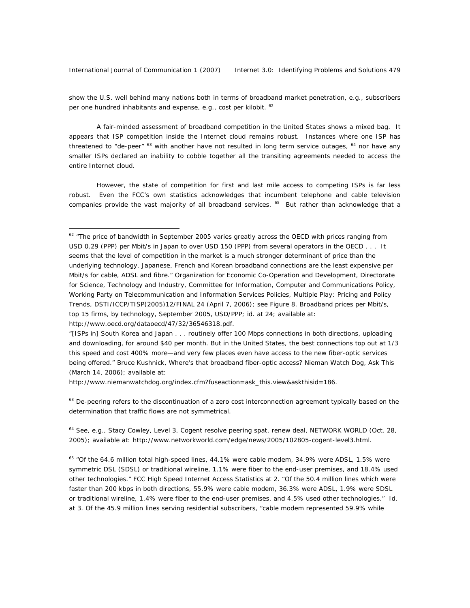show the U.S. well behind many nations both in terms of broadband market penetration, e.g., subscribers per one hundred inhabitants and expense, e.g., cost per kilobit. <sup>62</sup>

A fair-minded assessment of broadband competition in the United States shows a mixed bag. It appears that ISP competition inside the Internet cloud remains robust. Instances where one ISP has threatened to "de-peer"  $^{63}$  with another have not resulted in long term service outages,  $^{64}$  nor have any smaller ISPs declared an inability to cobble together all the transiting agreements needed to access the entire Internet cloud.

However, the state of competition for first and last mile access to competing ISPs is far less robust. Even the FCC's own statistics acknowledges that incumbent telephone and cable television companies provide the vast majority of all broadband services. <sup>65</sup> But rather than acknowledge that a

http://www.niemanwatchdog.org/index.cfm?fuseaction=ask\_this.view&askthisid=186.

 $\overline{a}$ 

 $63$  De-peering refers to the discontinuation of a zero cost interconnection agreement typically based on the determination that traffic flows are not symmetrical.

<sup>64</sup> *See, e.g.*, Stacy Cowley, Level 3, Cogent resolve peering spat, renew deal, NETWORK WORLD (Oct. 28, 2005); available at: http://www.networkworld.com/edge/news/2005/102805-cogent-level3.html.

 $<sup>65</sup>$  "Of the 64.6 million total high-speed lines, 44.1% were cable modem, 34.9% were ADSL, 1.5% were</sup> symmetric DSL (SDSL) or traditional wireline, 1.1% were fiber to the end-user premises, and 18.4% used other technologies." FCC High Speed Internet Access Statistics at 2. "Of the 50.4 million lines which were faster than 200 kbps in *both* directions, 55.9% were cable modem, 36.3% were ADSL, 1.9% were SDSL or traditional wireline, 1.4% were fiber to the end-user premises, and 4.5% used other technologies." *Id*. at 3. Of the 45.9 million lines serving residential subscribers, "cable modem represented 59.9% while

<sup>&</sup>lt;sup>62</sup> "The price of bandwidth in September 2005 varies greatly across the OECD with prices ranging from USD 0.29 (PPP) per Mbit/s in Japan to over USD 150 (PPP) from several operators in the OECD . . . It seems that the level of competition in the market is a much stronger determinant of price than the underlying technology. Japanese, French and Korean broadband connections are the least expensive per Mbit/s for cable, ADSL and fibre." Organization for Economic Co-Operation and Development, Directorate for Science, Technology and Industry, Committee for Information, Computer and Communications Policy, Working Party on Telecommunication and Information Services Policies, *Multiple Play: Pricing and Policy Trends*, DSTI/ICCP/TISP(2005)12/FINAL 24 (April 7, 2006); *see* Figure 8. Broadband prices per Mbit/s, top 15 firms, by technology, September 2005, USD/PPP; *id*. at 24; available at: http://www.oecd.org/dataoecd/47/32/36546318.pdf.

<sup>&</sup>quot;[ISPs in] South Korea and Japan . . . routinely offer 100 Mbps connections in both directions, uploading and downloading, for around \$40 per month. But in the United States, the best connections top out at 1/3 this speed and cost 400% more—and very few places even have access to the new fiber-optic services being offered." Bruce Kushnick, Where's that broadband fiber-optic access? Nieman Watch Dog, Ask This (March 14, 2006); available at: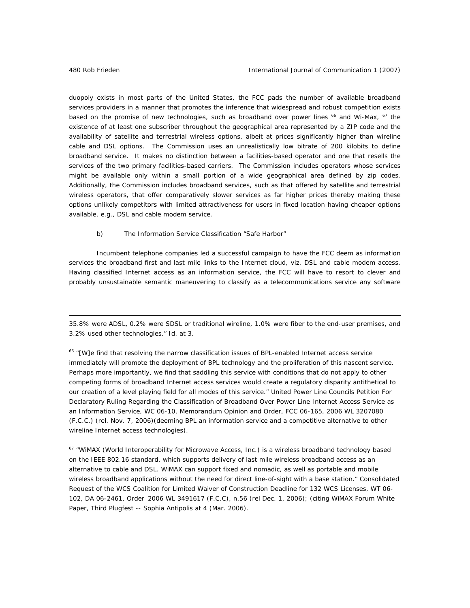duopoly exists in most parts of the United States, the FCC pads the number of available broadband services providers in a manner that promotes the inference that widespread and robust competition exists based on the promise of new technologies, such as broadband over power lines <sup>66</sup> and Wi-Max, <sup>67</sup> the existence of at least one subscriber throughout the geographical area represented by a ZIP code and the availability of satellite and terrestrial wireless options, albeit at prices significantly higher than wireline cable and DSL options. The Commission uses an unrealistically low bitrate of 200 kilobits to define broadband service. It makes no distinction between a facilities-based operator and one that resells the services of the two primary facilities-based carriers. The Commission includes operators whose services might be available only within a small portion of a wide geographical area defined by zip codes. Additionally, the Commission includes broadband services, such as that offered by satellite and terrestrial wireless operators, that offer comparatively slower services as far higher prices thereby making these options unlikely competitors with limited attractiveness for users in fixed location having cheaper options available, e.g., DSL and cable modem service.

b) The Information Service Classification "Safe Harbor"

Incumbent telephone companies led a successful campaign to have the FCC deem as information services the broadband first and last mile links to the Internet cloud, viz. DSL and cable modem access. Having classified Internet access as an information service, the FCC will have to resort to clever and probably unsustainable semantic maneuvering to classify as a telecommunications service any software

35.8% were ADSL, 0.2% were SDSL or traditional wireline, 1.0% were fiber to the end-user premises, and 3.2% used other technologies." *Id*. at 3.

<sup>66</sup> "[W]e find that resolving the narrow classification issues of BPL-enabled Internet access service immediately will promote the deployment of BPL technology and the proliferation of this nascent service. Perhaps more importantly, we find that saddling this service with conditions that do not apply to other competing forms of broadband Internet access services would create a regulatory disparity antithetical to our creation of a level playing field for all modes of this service." United Power Line Councils Petition For Declaratory Ruling Regarding the Classification of Broadband Over Power Line Internet Access Service as an Information Service, WC 06-10, Memorandum Opinion and Order, FCC 06-165, 2006 WL 3207080 (F.C.C.) (rel. Nov. 7, 2006)(deeming BPL an information service and a competitive alternative to other wireline Internet access technologies).

 $67$  "WiMAX (World Interoperability for Microwave Access, Inc.) is a wireless broadband technology based on the IEEE 802.16 standard, which supports delivery of last mile wireless broadband access as an alternative to cable and DSL. WiMAX can support fixed and nomadic, as well as portable and mobile wireless broadband applications without the need for direct line-of-sight with a base station." Consolidated Request of the WCS Coalition for Limited Waiver of Construction Deadline for 132 WCS Licenses, WT 06- 102, DA 06-2461, Order 2006 WL 3491617 (F.C.C), n.56 (rel Dec. 1, 2006); (*citing* WiMAX Forum White Paper, Third Plugfest -- Sophia Antipolis at 4 (Mar. 2006).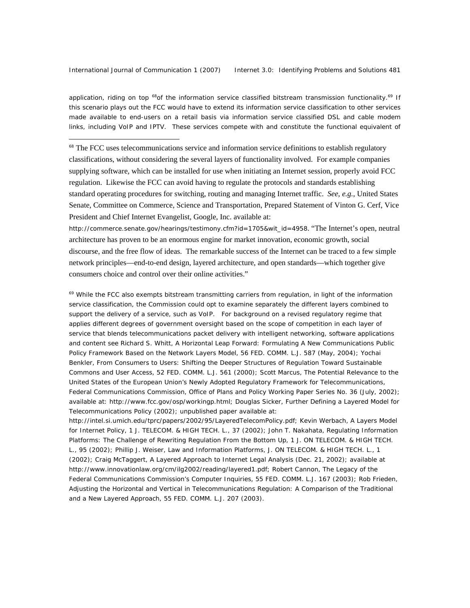application, riding on top <sup>68</sup>of the information service classified bitstream transmission functionality.<sup>69</sup> If this scenario plays out the FCC would have to extend its information service classification to other services made available to end-users on a retail basis via information service classified DSL and cable modem links, including VoIP and IPTV. These services compete with and constitute the functional equivalent of

<sup>68</sup> The FCC uses telecommunications service and information service definitions to establish regulatory classifications, without considering the several layers of functionality involved. For example companies supplying software, which can be installed for use when initiating an Internet session, properly avoid FCC regulation. Likewise the FCC can avoid having to regulate the protocols and standards establishing standard operating procedures for switching, routing and managing Internet traffic. *See, e.g.*, United States Senate, Committee on Commerce, Science and Transportation, Prepared Statement of Vinton G. Cerf, Vice President and Chief Internet Evangelist, Google, Inc. available at:

http://commerce.senate.gov/hearings/testimony.cfm?id=1705&wit\_id=4958. "The Internet's open, neutral architecture has proven to be an enormous engine for market innovation, economic growth, social discourse, and the free flow of ideas. The remarkable success of the Internet can be traced to a few simple network principles—end-to-end design, layered architecture, and open standards—which together give consumers choice and control over their online activities."

 $69$  While the FCC also exempts bitstream transmitting carriers from regulation, in light of the information service classification, the Commission could opt to examine separately the different layers combined to support the delivery of a service, such as VoIP. For background on a revised regulatory regime that applies different degrees of government oversight based on the scope of competition in each layer of service that blends telecommunications packet delivery with intelligent networking, software applications and content *see* Richard S. Whitt, *A Horizontal Leap Forward: Formulating A New Communications Public Policy Framework Based on the Network Layers Model*, 56 FED. COMM. L.J. 587 (May, 2004); Yochai Benkler, *From Consumers to Users: Shifting the Deeper Structures of Regulation Toward Sustainable Commons and User Access*, 52 FED. COMM. L.J. 561 (2000); Scott Marcus, *The Potential Relevance to the United States of the European Union's Newly Adopted Regulatory Framework for Telecommunications*, Federal Communications Commission, Office of Plans and Policy Working Paper Series No. 36 (July, 2002); available at: http://www.fcc.gov/osp/workingp.html; Douglas Sicker, *Further Defining a Layered Model for Telecommunications Policy* (2002); unpublished paper available at:

http://intel.si.umich.edu/tprc/papers/2002/95/LayeredTelecomPolicy.pdf; Kevin Werbach, *A Layers Model for Internet Policy*, 1 J. TELECOM. & HIGH TECH. L., 37 (2002); John T. Nakahata, *Regulating Information Platforms: The Challenge of Rewriting Regulation From the Bottom Up*, 1 J. ON TELECOM. & HIGH TECH. L., 95 (2002); Phillip J. Weiser, *Law and Information Platforms*, J. ON TELECOM. & HIGH TECH. L., 1 (2002); Craig McTaggert, *A Layered Approach to Internet Legal Analysis* (Dec. 21, 2002); available at http://www.innovationlaw.org/cm/ilg2002/reading/layered1.pdf; Robert Cannon, *The Legacy of the Federal Communications Commission's Computer Inquiries*, 55 FED. COMM. L.J. 167 (2003); Rob Frieden, *Adjusting the Horizontal and Vertical in Telecommunications Regulation: A Comparison of the Traditional and a New Layered Approach*, 55 FED. COMM. L.J. 207 (2003).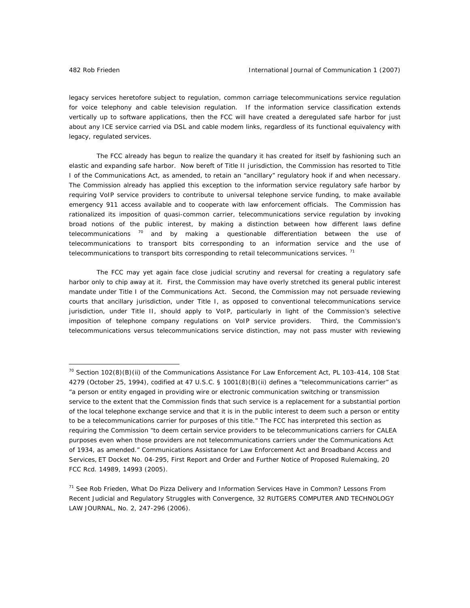legacy services heretofore subject to regulation, common carriage telecommunications service regulation for voice telephony and cable television regulation. If the information service classification extends vertically up to software applications, then the FCC will have created a deregulated safe harbor for just about any ICE service carried via DSL and cable modem links, regardless of its functional equivalency with legacy, regulated services.

The FCC already has begun to realize the quandary it has created for itself by fashioning such an elastic and expanding safe harbor. Now bereft of Title II jurisdiction, the Commission has resorted to Title I of the Communications Act, as amended, to retain an "ancillary" regulatory hook if and when necessary. The Commission already has applied this exception to the information service regulatory safe harbor by requiring VoIP service providers to contribute to universal telephone service funding, to make available emergency 911 access available and to cooperate with law enforcement officials. The Commission has rationalized its imposition of quasi-common carrier, telecommunications service regulation by invoking broad notions of the public interest, by making a distinction between how different laws define telecommunications  $70$  and by making a questionable differentiation between the use of telecommunications to transport bits corresponding to an information service and the use of telecommunications to transport bits corresponding to retail telecommunications services.<sup>71</sup>

The FCC may yet again face close judicial scrutiny and reversal for creating a regulatory safe harbor only to chip away at it. First, the Commission may have overly stretched its general public interest mandate under Title I of the Communications Act. Second, the Commission may not persuade reviewing courts that ancillary jurisdiction, under Title I, as opposed to conventional telecommunications service jurisdiction, under Title II, should apply to VoIP, particularly in light of the Commission's selective imposition of telephone company regulations on VoIP service providers. Third, the Commission's telecommunications versus telecommunications service distinction, may not pass muster with reviewing

 $70$  Section 102(8)(B)(ii) of the Communications Assistance For Law Enforcement Act, PL 103-414, 108 Stat 4279 (October 25, 1994), *codified at* 47 U.S.C. § 1001(8)(B)(ii) defines a "telecommunications carrier" as "a person or entity engaged in providing wire or electronic communication switching or transmission service to the extent that the Commission finds that such service is a replacement for a substantial portion of the local telephone exchange service and that it is in the public interest to deem such a person or entity to be a telecommunications carrier for purposes of this title." The FCC has interpreted this section as requiring the Commission "to deem certain service providers to be telecommunications carriers for CALEA purposes even when those providers are not telecommunications carriers under the Communications Act of 1934, as amended." Communications Assistance for Law Enforcement Act and Broadband Access and Services, ET Docket No. 04-295, First Report and Order and Further Notice of Proposed Rulemaking, 20 FCC Rcd. 14989, 14993 (2005).

<sup>71</sup> *See* Rob Frieden, What Do Pizza Delivery and Information Services Have in Common? Lessons From Recent Judicial and Regulatory Struggles with Convergence, 32 RUTGERS COMPUTER AND TECHNOLOGY LAW JOURNAL, No. 2, 247-296 (2006).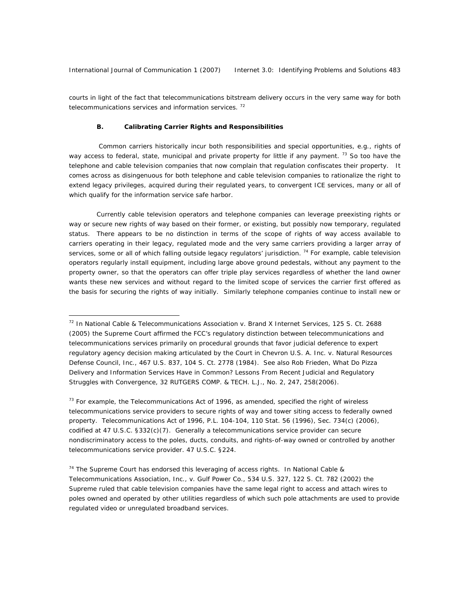courts in light of the fact that telecommunications bitstream delivery occurs in the very same way for both telecommunications services and information services.<sup>72</sup>

#### **B. Calibrating Carrier Rights and Responsibilities**

 $\overline{a}$ 

 Common carriers historically incur both responsibilities and special opportunities, e.g., rights of way access to federal, state, municipal and private property for little if any payment. <sup>73</sup> So too have the telephone and cable television companies that now complain that regulation confiscates their property. It comes across as disingenuous for both telephone and cable television companies to rationalize the right to extend legacy privileges, acquired during their regulated years, to convergent ICE services, many or all of which qualify for the information service safe harbor.

Currently cable television operators and telephone companies can leverage preexisting rights or way or secure new rights of way based on their former, or existing, but possibly now temporary, regulated status. There appears to be no distinction in terms of the scope of rights of way access available to carriers operating in their legacy, regulated mode and the very same carriers providing a larger array of services, some or all of which falling outside legacy regulators' jurisdiction.<sup>74</sup> For example, cable television operators regularly install equipment, including large above ground pedestals, without any payment to the property owner, so that the operators can offer triple play services regardless of whether the land owner wants these new services and without regard to the limited scope of services the carrier first offered as the basis for securing the rights of way initially. Similarly telephone companies continue to install new or

 $<sup>73</sup>$  For example, the Telecommunications Act of 1996, as amended, specified the right of wireless</sup> telecommunications service providers to secure rights of way and tower siting access to federally owned property. Telecommunications Act of 1996, P.L. 104-104, 110 Stat. 56 (1996), Sec. 734(c) (2006), *codified at* 47 U.S.C. §332(c)(7). Generally a telecommunications service provider can secure nondiscriminatory access to the poles, ducts, conduits, and rights-of-way owned or controlled by another telecommunications service provider. 47 U.S.C. §224.

 $74$  The Supreme Court has endorsed this leveraging of access rights. In National Cable & Telecommunications Association, Inc., v. Gulf Power Co., 534 U.S. 327, 122 S. Ct. 782 (2002) the Supreme ruled that cable television companies have the same legal right to access and attach wires to poles owned and operated by other utilities regardless of which such pole attachments are used to provide regulated video or unregulated broadband services.

<sup>72</sup> In National Cable & Telecommunications Association v. Brand X Internet Services, 125 S. Ct. 2688 (2005) the Supreme Court affirmed the FCC's regulatory distinction between telecommunications and telecommunications services primarily on procedural grounds that favor judicial deference to expert regulatory agency decision making articulated by the Court in Chevron U.S. A. Inc. v. Natural Resources Defense Council, Inc., 467 U.S. 837, 104 S. Ct. 2778 (1984). *See also* Rob Frieden, *What Do Pizza Delivery and Information Services Have in Common? Lessons From Recent Judicial and Regulatory Struggles with Convergence*, 32 RUTGERS COMP. & TECH. L.J., No. 2, 247, 258(2006).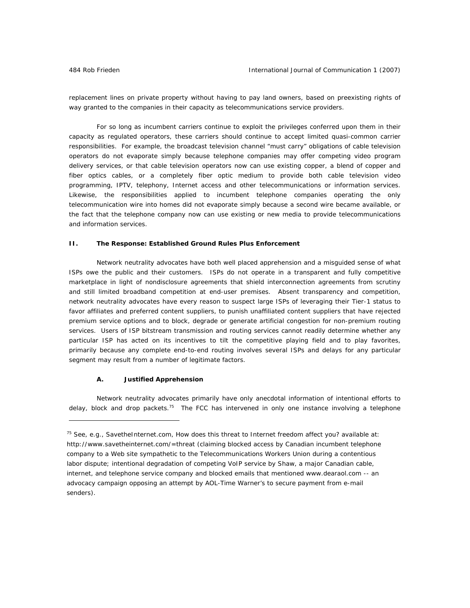replacement lines on private property without having to pay land owners, based on preexisting rights of way granted to the companies in their capacity as telecommunications service providers.

For so long as incumbent carriers continue to exploit the privileges conferred upon them in their capacity as regulated operators, these carriers should continue to accept limited quasi-common carrier responsibilities. For example, the broadcast television channel "must carry" obligations of cable television operators do not evaporate simply because telephone companies may offer competing video program delivery services, or that cable television operators now can use existing copper, a blend of copper and fiber optics cables, or a completely fiber optic medium to provide both cable television video programming, IPTV, telephony, Internet access and other telecommunications or information services. Likewise, the responsibilities applied to incumbent telephone companies operating the only telecommunication wire into homes did not evaporate simply because a second wire became available, or the fact that the telephone company now can use existing or new media to provide telecommunications and information services.

#### **II. The Response: Established Ground Rules Plus Enforcement**

Network neutrality advocates have both well placed apprehension and a misguided sense of what ISPs owe the public and their customers. ISPs do not operate in a transparent and fully competitive marketplace in light of nondisclosure agreements that shield interconnection agreements from scrutiny and still limited broadband competition at end-user premises. Absent transparency and competition, network neutrality advocates have every reason to suspect large ISPs of leveraging their Tier-1 status to favor affiliates and preferred content suppliers, to punish unaffiliated content suppliers that have rejected premium service options and to block, degrade or generate artificial congestion for non-premium routing services. Users of ISP bitstream transmission and routing services cannot readily determine whether any particular ISP has acted on its incentives to tilt the competitive playing field and to play favorites, primarily because any complete end-to-end routing involves several ISPs and delays for any particular segment may result from a number of legitimate factors.

#### **A. Justified Apprehension**

 $\overline{a}$ 

Network neutrality advocates primarily have only anecdotal information of intentional efforts to delay, block and drop packets.<sup>75</sup> The FCC has intervened in only one instance involving a telephone

<sup>75</sup> *See, e.g.*, SavetheInternet.com, How does this threat to Internet freedom affect you? available at: http://www.savetheinternet.com/=threat (claiming blocked access by Canadian incumbent telephone company to a Web site sympathetic to the Telecommunications Workers Union during a contentious labor dispute; intentional degradation of competing VoIP service by Shaw, a major Canadian cable, internet, and telephone service company and blocked emails that mentioned www.dearaol.com -- an advocacy campaign opposing an attempt by AOL-Time Warner's to secure payment from e-mail senders).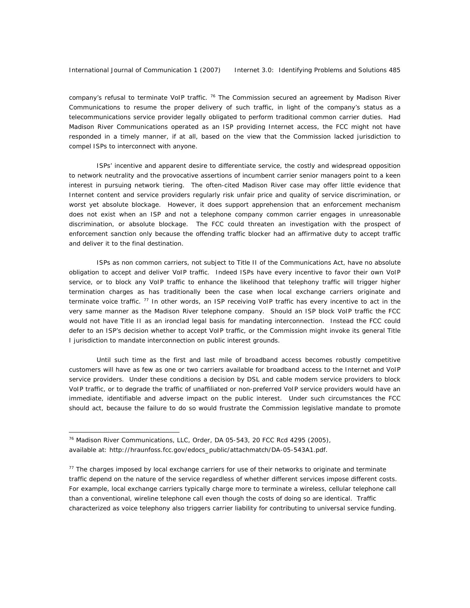company's refusal to terminate VoIP traffic.<sup>76</sup> The Commission secured an agreement by Madison River Communications to resume the proper delivery of such traffic, in light of the company's status as a telecommunications service provider legally obligated to perform traditional common carrier duties. Had Madison River Communications operated as an ISP providing Internet access, the FCC might not have responded in a timely manner, if at all, based on the view that the Commission lacked jurisdiction to compel ISPs to interconnect with anyone.

ISPs' incentive and apparent desire to differentiate service, the costly and widespread opposition to network neutrality and the provocative assertions of incumbent carrier senior managers point to a keen interest in pursuing network tiering. The often-cited Madison River case may offer little evidence that Internet content and service providers regularly risk unfair price and quality of service discrimination, or worst yet absolute blockage. However, it does support apprehension that an enforcement mechanism does not exist when an ISP and not a telephone company common carrier engages in unreasonable discrimination, or absolute blockage. The FCC could threaten an investigation with the prospect of enforcement sanction only because the offending traffic blocker had an affirmative duty to accept traffic and deliver it to the final destination.

ISPs as non common carriers, not subject to Title II of the Communications Act, have no absolute obligation to accept and deliver VoIP traffic. Indeed ISPs have every incentive to favor their own VoIP service, or to block any VoIP traffic to enhance the likelihood that telephony traffic will trigger higher termination charges as has traditionally been the case when local exchange carriers originate and terminate voice traffic.  $^{77}$  In other words, an ISP receiving VoIP traffic has every incentive to act in the very same manner as the Madison River telephone company. Should an ISP block VoIP traffic the FCC would not have Title II as an ironclad legal basis for mandating interconnection. Instead the FCC could defer to an ISP's decision whether to accept VoIP traffic, or the Commission might invoke its general Title I jurisdiction to mandate interconnection on public interest grounds.

Until such time as the first and last mile of broadband access becomes robustly competitive customers will have as few as one or two carriers available for broadband access to the Internet and VoIP service providers. Under these conditions a decision by DSL and cable modem service providers to block VoIP traffic, or to degrade the traffic of unaffiliated or non-preferred VoIP service providers would have an immediate, identifiable and adverse impact on the public interest. Under such circumstances the FCC should act, because the failure to do so would frustrate the Commission legislative mandate to promote

 $\overline{a}$ 

<sup>76</sup> Madison River Communications, LLC, Order, DA 05-543, 20 FCC Rcd 4295 (2005), available at: http://hraunfoss.fcc.gov/edocs\_public/attachmatch/DA-05-543A1.pdf.

 $77$  The charges imposed by local exchange carriers for use of their networks to originate and terminate traffic depend on the nature of the service regardless of whether different services impose different costs. For example, local exchange carriers typically charge more to terminate a wireless, cellular telephone call than a conventional, wireline telephone call even though the costs of doing so are identical. Traffic characterized as voice telephony also triggers carrier liability for contributing to universal service funding.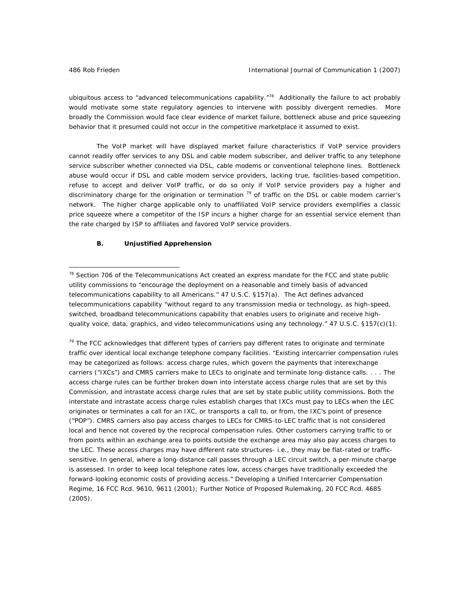ubiquitous access to "advanced telecommunications capability."<sup>78</sup> Additionally the failure to act probably would motivate some state regulatory agencies to intervene with possibly divergent remedies. More broadly the Commission would face clear evidence of market failure, bottleneck abuse and price squeezing behavior that it presumed could not occur in the competitive marketplace it assumed to exist.

The VoIP market will have displayed market failure characteristics if VoIP service providers cannot readily offer services to any DSL and cable modem subscriber, and deliver traffic to any telephone service subscriber whether connected via DSL, cable modems or conventional telephone lines. Bottleneck abuse would occur if DSL and cable modem service providers, lacking true, facilities-based competition, refuse to accept and deliver VoIP traffic, or do so only if VoIP service providers pay a higher and discriminatory charge for the origination or termination <sup>79</sup> of traffic on the DSL or cable modem carrier's network. The higher charge applicable only to unaffiliated VoIP service providers exemplifies a classic price squeeze where a competitor of the ISP incurs a higher charge for an essential service element than the rate charged by ISP to affiliates and favored VoIP service providers.

#### **B. Unjustified Apprehension**

 $79$  The FCC acknowledges that different types of carriers pay different rates to originate and terminate traffic over identical local exchange telephone company facilities. "Existing intercarrier compensation rules may be categorized as follows: *access charge rules*, which govern the payments that interexchange carriers ("IXCs") and CMRS carriers make to LECs to originate and terminate long-distance calls. . . . The access charge rules can be further broken down into *interstate* access charge rules that are set by this Commission, and *intrastate* access charge rules that are set by state public utility commissions. Both the interstate and intrastate access charge rules establish charges that IXCs must pay to LECs when the LEC originates or terminates a call for an IXC, or transports a call to, or from, the IXC's point of presence ("POP"). CMRS carriers also pay access charges to LECs for CMRS-to-LEC traffic that is not considered local and hence not covered by the reciprocal compensation rules. Other customers carrying traffic to or from points within an exchange area to points outside the exchange area may also pay access charges to the LEC. These access charges may have different rate structures- *i.e.*, they may be flat-rated or trafficsensitive. In general, where a long-distance call passes through a LEC circuit switch, a per-minute charge is assessed. In order to keep local telephone rates low, access charges have traditionally exceeded the forward-looking economic costs of providing access." Developing a Unified Intercarrier Compensation Regime, 16 FCC Rcd. 9610, 9611 (2001); Further Notice of Proposed Rulemaking, 20 FCC Rcd. 4685 (2005).

 $78$  Section 706 of the Telecommunications Act created an express mandate for the FCC and state public utility commissions to "encourage the deployment on a reasonable and timely basis of advanced telecommunications capability to all Americans." 47 U.S.C. §157(a). The Act defines advanced telecommunications capability "without regard to any transmission media or technology, as high-speed, switched, broadband telecommunications capability that enables users to originate and receive highquality voice, data, graphics, and video telecommunications using any technology." 47 U.S.C. §157(c)(1).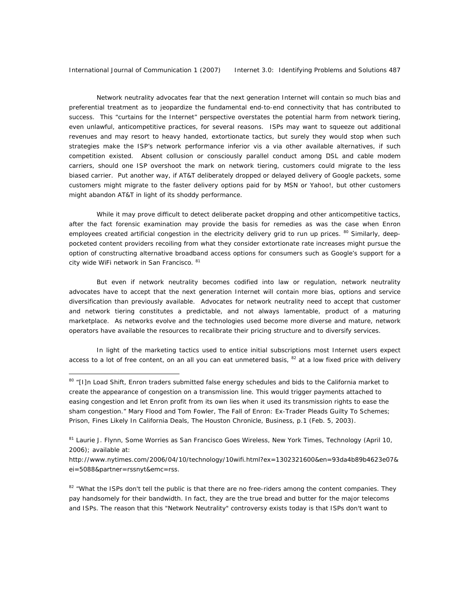International Journal of Communication 1 (2007) Internet 3.0: Identifying Problems and Solutions 487

Network neutrality advocates fear that the next generation Internet will contain so much bias and preferential treatment as to jeopardize the fundamental end-to-end connectivity that has contributed to success. This "curtains for the Internet" perspective overstates the potential harm from network tiering, even unlawful, anticompetitive practices, for several reasons. ISPs may want to squeeze out additional revenues and may resort to heavy handed, extortionate tactics, but surely they would stop when such strategies make the ISP's network performance inferior vis a via other available alternatives, if such competition existed. Absent collusion or consciously parallel conduct among DSL and cable modem carriers, should one ISP overshoot the mark on network tiering, customers could migrate to the less biased carrier. Put another way, if AT&T deliberately dropped or delayed delivery of Google packets, some customers might migrate to the faster delivery options paid for by MSN or Yahoo!, but other customers might abandon AT&T in light of its shoddy performance.

While it may prove difficult to detect deliberate packet dropping and other anticompetitive tactics, after the fact forensic examination may provide the basis for remedies as was the case when Enron employees created artificial congestion in the electricity delivery grid to run up prices. <sup>80</sup> Similarly, deeppocketed content providers recoiling from what they consider extortionate rate increases might pursue the option of constructing alternative broadband access options for consumers such as Google's support for a city wide WiFi network in San Francisco. 81

But even if network neutrality becomes codified into law or regulation, network neutrality advocates have to accept that the next generation Internet will contain more bias, options and service diversification than previously available. Advocates for network neutrality need to accept that customer and network tiering constitutes a predictable, and not always lamentable, product of a maturing marketplace. As networks evolve and the technologies used become more diverse and mature, network operators have available the resources to recalibrate their pricing structure and to diversify services.

In light of the marketing tactics used to entice initial subscriptions most Internet users expect access to a lot of free content, on an all you can eat unmetered basis,  $82$  at a low fixed price with delivery

 $\overline{a}$ 

<sup>80 &</sup>quot;[I]n Load Shift, Enron traders submitted false energy schedules and bids to the California market to create the appearance of congestion on a transmission line. This would trigger payments attached to easing congestion and let Enron profit from its own lies when it used its transmission rights to ease the sham congestion." Mary Flood and Tom Fowler, The Fall of Enron: Ex-Trader Pleads Guilty To Schemes; Prison, Fines Likely In California Deals, The Houston Chronicle, Business, p.1 (Feb. 5, 2003).

<sup>&</sup>lt;sup>81</sup> Laurie J. Flynn, Some Worries as San Francisco Goes Wireless, New York Times, Technology (April 10, 2006); available at:

[http://www.nytimes.com/2006/04/10/technology/10wifi.html?ex=1302321600&en=93da4b89b4623e07&](http://www.nytimes.com/2006/04/10/technology/10wifi.html?ex=1302321600&en=93da4b89b4623e07&ei=5088&partner=rssnyt&emc=rss) ei=5088&partner=rssnyt&emc=rss.

<sup>82 &</sup>quot;What the ISPs don't tell the public is that there are no free-riders among the content companies. They pay handsomely for their bandwidth. In fact, they are the true bread and butter for the major telecoms and ISPs. The reason that this "Network Neutrality" controversy exists today is that ISPs don't want to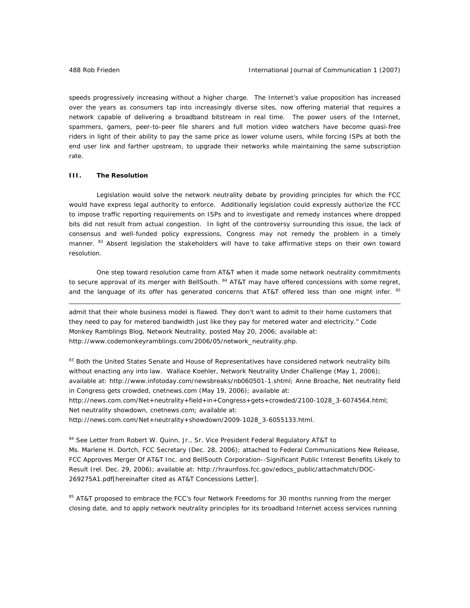speeds progressively increasing without a higher charge. The Internet's value proposition has increased over the years as consumers tap into increasingly diverse sites, now offering material that requires a network capable of delivering a broadband bitstream in real time. The power users of the Internet, spammers, gamers, peer-to-peer file sharers and full motion video watchers have become quasi-free riders in light of their ability to pay the same price as lower volume users, while forcing ISPs at both the end user link and farther upstream, to upgrade their networks while maintaining the same subscription rate.

#### **III. The Resolution**

 $\overline{a}$ 

Legislation would solve the network neutrality debate by providing principles for which the FCC would have express legal authority to enforce. Additionally legislation could expressly authorize the FCC to impose traffic reporting requirements on ISPs and to investigate and remedy instances where dropped bits did not result from actual congestion. In light of the controversy surrounding this issue, the lack of consensus and well-funded policy expressions, Congress may not remedy the problem in a timely manner. <sup>83</sup> Absent legislation the stakeholders will have to take affirmative steps on their own toward resolution.

One step toward resolution came from AT&T when it made some network neutrality commitments to secure approval of its merger with BellSouth. <sup>84</sup> AT&T may have offered concessions with some regret, and the language of its offer has generated concerns that AT&T offered less than one might infer. 85

admit that their whole business model is flawed. They don't want to admit to their home customers that they need to pay for metered bandwidth just like they pay for metered water and electricity." Code Monkey Ramblings Blog, Network Neutrality, posted May 20, 2006; available at: http://www.codemonkeyramblings.com/2006/05/network\_neutrality.php.

83 Both the United States Senate and House of Representatives have considered network neutrality bills without enacting any into law. Wallace Koehler, Network Neutrality Under Challenge (May 1, 2006); available at: http://www.infotoday.com/newsbreaks/nb060501-1.shtml; Anne Broache, Net neutrality field in Congress gets crowded, cnetnews.com (May 19, 2006); available at: http://news.com.com/Net+neutrality+field+in+Congress+gets+crowded/2100-1028\_3-6074564.html; Net neutrality showdown, cnetnews.com; available at: http://news.com.com/Net+neutrality+showdown/2009-1028\_3-6055133.html.

<sup>84</sup> *See* Letter from Robert W. Quinn, Jr., Sr. Vice President Federal Regulatory AT&T to Ms. Marlene H. Dortch, FCC Secretary (Dec. 28, 2006); *attached to* Federal Communications New Release, FCC Approves Merger Of AT&T Inc. and BellSouth Corporation--Significant Public Interest Benefits Likely to Result (rel. Dec. 29, 2006); available at: http://hraunfoss.fcc.gov/edocs\_public/attachmatch/DOC-269275A1.pdf[hereinafter cited as AT&T Concessions Letter].

<sup>85</sup> AT&T proposed to embrace the FCC's four Network Freedoms for 30 months running from the merger closing date, and to apply network neutrality principles for its broadband Internet access services running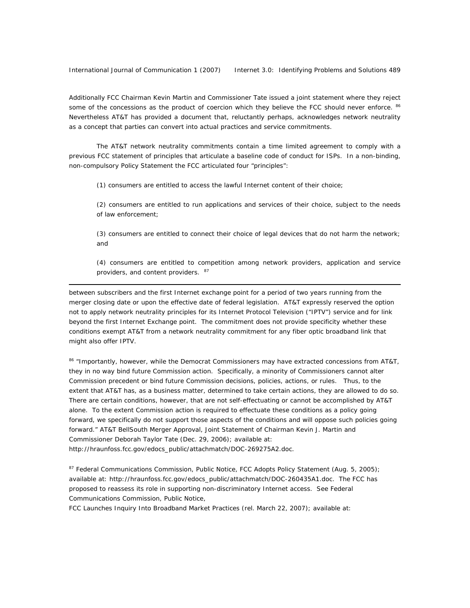International Journal of Communication 1 (2007) Internet 3.0: Identifying Problems and Solutions 489

 $\overline{a}$ 

Additionally FCC Chairman Kevin Martin and Commissioner Tate issued a joint statement where they reject some of the concessions as the product of coercion which they believe the FCC should never enforce. 86 Nevertheless AT&T has provided a document that, reluctantly perhaps, acknowledges network neutrality as a concept that parties can convert into actual practices and service commitments.

The AT&T network neutrality commitments contain a time limited agreement to comply with a previous FCC statement of principles that articulate a baseline code of conduct for ISPs. In a non-binding, non-compulsory Policy Statement the FCC articulated four "principles":

(1) consumers are entitled to access the lawful Internet content of their choice;

(2) consumers are entitled to run applications and services of their choice, subject to the needs of law enforcement;

(3) consumers are entitled to connect their choice of legal devices that do not harm the network; and

(4) consumers are entitled to competition among network providers, application and service providers, and content providers. 87

between subscribers and the first Internet exchange point for a period of two years running from the merger closing date or upon the effective date of federal legislation. AT&T expressly reserved the option not to apply network neutrality principles for its Internet Protocol Television ("IPTV") service and for link beyond the first Internet Exchange point. The commitment does not provide specificity whether these conditions exempt AT&T from a network neutrality commitment for any fiber optic broadband link that might also offer IPTV.

86 "Importantly, however, while the Democrat Commissioners may have extracted concessions from AT&T, they in no way bind future Commission action. Specifically, a minority of Commissioners cannot alter Commission precedent or bind future Commission decisions, policies, actions, or rules. Thus, to the extent that AT&T has, as a business matter, determined to take certain actions, they are allowed to do so. There are certain conditions, however, that are not self-effectuating or cannot be accomplished by AT&T alone. To the extent Commission action is required to effectuate these conditions as a policy going forward, we specifically do not support those aspects of the conditions and will oppose such policies going forward." AT&T BellSouth Merger Approval, Joint Statement of Chairman Kevin J. Martin and Commissioner Deborah Taylor Tate (Dec. 29, 2006); available at: http://hraunfoss.fcc.gov/edocs\_public/attachmatch/DOC-269275A2.doc.

87 Federal Communications Commission, Public Notice, FCC Adopts Policy Statement (Aug. 5, 2005); available at: http://hraunfoss.fcc.gov/edocs\_public/attachmatch/DOC-260435A1.doc. The FCC has proposed to reassess its role in supporting non-discriminatory Internet access. *See* Federal Communications Commission, Public Notice,

FCC Launches Inquiry Into Broadband Market Practices (rel. March 22, 2007); available at: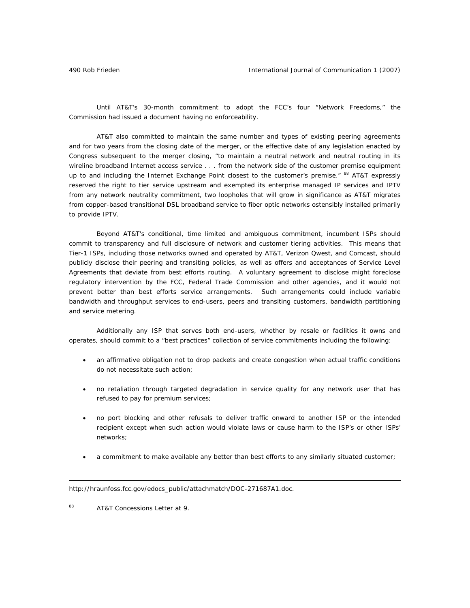Until AT&T's 30-month commitment to adopt the FCC's four "Network Freedoms," the Commission had issued a document having no enforceability.

AT&T also committed to maintain the same number and types of existing peering agreements and for two years from the closing date of the merger, or the effective date of any legislation enacted by Congress subsequent to the merger closing, "to maintain a neutral network and neutral routing in its wireline broadband Internet access service . . . from the network side of the customer premise equipment up to and including the Internet Exchange Point closest to the customer's premise." <sup>88</sup> AT&T expressly reserved the right to tier service upstream and exempted its enterprise managed IP services and IPTV from any network neutrality commitment, two loopholes that will grow in significance as AT&T migrates from copper-based transitional DSL broadband service to fiber optic networks ostensibly installed primarily to provide IPTV.

Beyond AT&T's conditional, time limited and ambiguous commitment, incumbent ISPs should commit to transparency and full disclosure of network and customer tiering activities. This means that Tier-1 ISPs, including those networks owned and operated by AT&T, Verizon Qwest, and Comcast, should publicly disclose their peering and transiting policies, as well as offers and acceptances of Service Level Agreements that deviate from best efforts routing. A voluntary agreement to disclose might foreclose regulatory intervention by the FCC, Federal Trade Commission and other agencies, and it would not prevent better than best efforts service arrangements. Such arrangements could include variable bandwidth and throughput services to end-users, peers and transiting customers, bandwidth partitioning and service metering.

Additionally any ISP that serves both end-users, whether by resale or facilities it owns and operates, should commit to a "best practices" collection of service commitments including the following:

- an affirmative obligation not to drop packets and create congestion when actual traffic conditions do not necessitate such action;
- no retaliation through targeted degradation in service quality for any network user that has refused to pay for premium services;
- no port blocking and other refusals to deliver traffic onward to another ISP or the intended recipient except when such action would violate laws or cause harm to the ISP's or other ISPs' networks;
- a commitment to make available any better than best efforts to any similarly situated customer;

http://hraunfoss.fcc.gov/edocs\_public/attachmatch/DOC-271687A1.doc.

88 AT&T Concessions Letter at 9.

 $\overline{a}$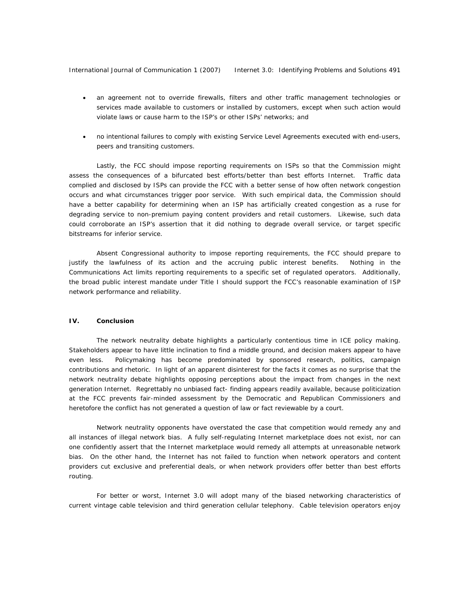International Journal of Communication 1 (2007) Internet 3.0: Identifying Problems and Solutions 491

- an agreement not to override firewalls, filters and other traffic management technologies or services made available to customers or installed by customers, except when such action would violate laws or cause harm to the ISP's or other ISPs' networks; and
- no intentional failures to comply with existing Service Level Agreements executed with end-users, peers and transiting customers.

Lastly, the FCC should impose reporting requirements on ISPs so that the Commission might assess the consequences of a bifurcated best efforts/better than best efforts Internet. Traffic data complied and disclosed by ISPs can provide the FCC with a better sense of how often network congestion occurs and what circumstances trigger poor service. With such empirical data, the Commission should have a better capability for determining when an ISP has artificially created congestion as a ruse for degrading service to non-premium paying content providers and retail customers. Likewise, such data could corroborate an ISP's assertion that it did nothing to degrade overall service, or target specific bitstreams for inferior service.

Absent Congressional authority to impose reporting requirements, the FCC should prepare to justify the lawfulness of its action and the accruing public interest benefits. Nothing in the Communications Act limits reporting requirements to a specific set of regulated operators. Additionally, the broad public interest mandate under Title I should support the FCC's reasonable examination of ISP network performance and reliability.

#### **IV. Conclusion**

The network neutrality debate highlights a particularly contentious time in ICE policy making. Stakeholders appear to have little inclination to find a middle ground, and decision makers appear to have even less. Policymaking has become predominated by sponsored research, politics, campaign contributions and rhetoric. In light of an apparent disinterest for the facts it comes as no surprise that the network neutrality debate highlights opposing perceptions about the impact from changes in the next generation Internet. Regrettably no unbiased fact- finding appears readily available, because politicization at the FCC prevents fair-minded assessment by the Democratic and Republican Commissioners and heretofore the conflict has not generated a question of law or fact reviewable by a court.

Network neutrality opponents have overstated the case that competition would remedy any and all instances of illegal network bias. A fully self-regulating Internet marketplace does not exist, nor can one confidently assert that the Internet marketplace would remedy all attempts at unreasonable network bias. On the other hand, the Internet has not failed to function when network operators and content providers cut exclusive and preferential deals, or when network providers offer better than best efforts routing.

For better or worst, Internet 3.0 will adopt many of the biased networking characteristics of current vintage cable television and third generation cellular telephony. Cable television operators enjoy